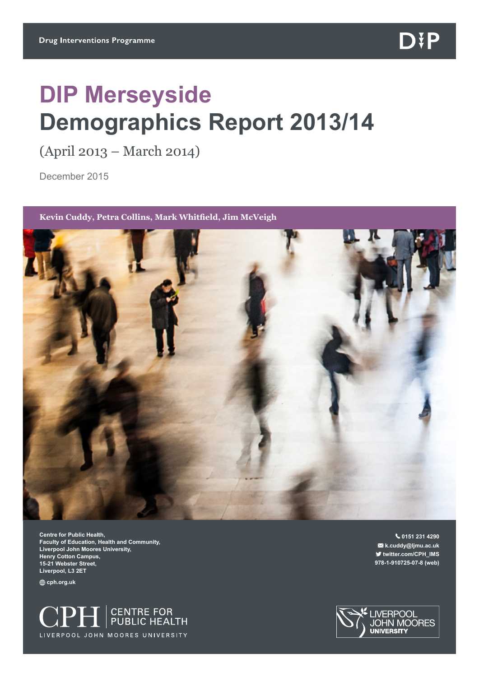# **DIP Merseyside Demographics Report 2013/14**

(April 2013 – March 2014)

December 2015

#### **Kevin Cuddy, Petra Collins, Mark Whitfield, Jim McVeigh**



**Centre for Public Health, Faculty of Education, Health and Community, Liverpool John Moores University, Henry Cotton Campus, 15-21 Webster Street, Liverpool, L3 2ET**

**cph.org.uk** 



 **0151 231 4290 k.cuddy@ljmu.ac.uk twitter.com/CPH\_IMS 978-1-910725-07-8 (web)**

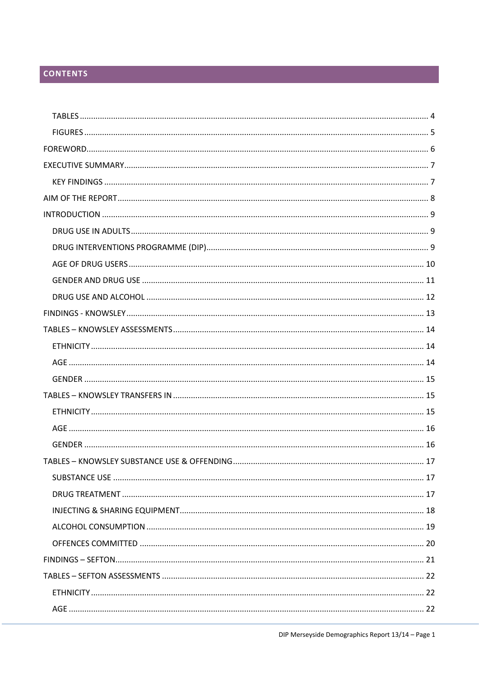# **CONTENTS**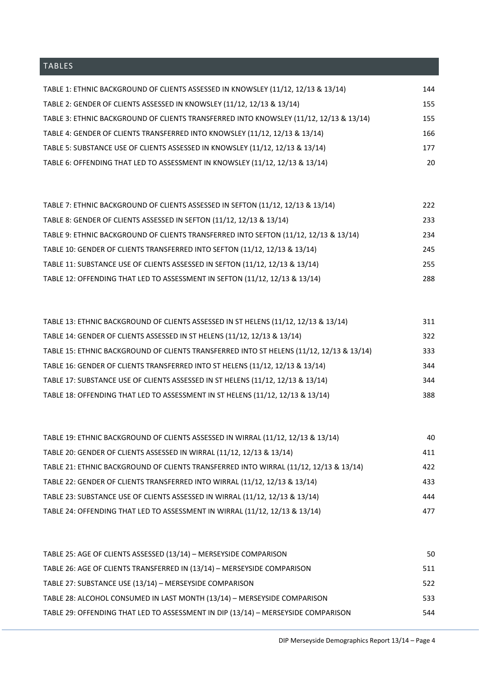# <span id="page-4-0"></span>TABLES

| TABLE 1: ETHNIC BACKGROUND OF CLIENTS ASSESSED IN KNOWSLEY (11/12, 12/13 & 13/14)      | 144 |
|----------------------------------------------------------------------------------------|-----|
| TABLE 2: GENDER OF CLIENTS ASSESSED IN KNOWSLEY (11/12, 12/13 & 13/14)                 | 155 |
| TABLE 3: ETHNIC BACKGROUND OF CLIENTS TRANSFERRED INTO KNOWSLEY (11/12, 12/13 & 13/14) | 155 |
| TABLE 4: GENDER OF CLIENTS TRANSFERRED INTO KNOWSLEY (11/12, 12/13 & 13/14)            | 166 |
| TABLE 5: SUBSTANCE USE OF CLIENTS ASSESSED IN KNOWSLEY (11/12, 12/13 & 13/14)          | 177 |
| TABLE 6: OFFENDING THAT LED TO ASSESSMENT IN KNOWSLEY (11/12, 12/13 & 13/14)           | 20  |

| TABLE 7: ETHNIC BACKGROUND OF CLIENTS ASSESSED IN SEFTON (11/12, 12/13 & 13/14)      | 222 |
|--------------------------------------------------------------------------------------|-----|
| TABLE 8: GENDER OF CLIENTS ASSESSED IN SEFTON (11/12, 12/13 & 13/14)                 | 233 |
| TABLE 9: ETHNIC BACKGROUND OF CLIENTS TRANSFERRED INTO SEFTON (11/12, 12/13 & 13/14) | 234 |
| TABLE 10: GENDER OF CLIENTS TRANSFERRED INTO SEFTON (11/12, 12/13 & 13/14)           | 245 |
| TABLE 11: SUBSTANCE USE OF CLIENTS ASSESSED IN SEFTON (11/12, 12/13 & 13/14)         | 255 |
| TABLE 12: OFFENDING THAT LED TO ASSESSMENT IN SEFTON (11/12, 12/13 & 13/14)          | 288 |

| TABLE 13: ETHNIC BACKGROUND OF CLIENTS ASSESSED IN ST HELENS (11/12, 12/13 & 13/14)      | 311 |
|------------------------------------------------------------------------------------------|-----|
| TABLE 14: GENDER OF CLIENTS ASSESSED IN ST HELENS (11/12, 12/13 & 13/14)                 | 322 |
| TABLE 15: ETHNIC BACKGROUND OF CLIENTS TRANSFERRED INTO ST HELENS (11/12, 12/13 & 13/14) | 333 |
| TABLE 16: GENDER OF CLIENTS TRANSFERRED INTO ST HELENS (11/12, 12/13 & 13/14)            | 344 |
| TABLE 17: SUBSTANCE USE OF CLIENTS ASSESSED IN ST HELENS (11/12, 12/13 & 13/14)          | 344 |
| TABLE 18: OFFENDING THAT LED TO ASSESSMENT IN ST HELENS (11/12, 12/13 & 13/14)           | 388 |

| TABLE 19: ETHNIC BACKGROUND OF CLIENTS ASSESSED IN WIRRAL (11/12, 12/13 & 13/14)      | 40  |
|---------------------------------------------------------------------------------------|-----|
| TABLE 20: GENDER OF CLIENTS ASSESSED IN WIRRAL (11/12, 12/13 & 13/14)                 | 411 |
| TABLE 21: ETHNIC BACKGROUND OF CLIENTS TRANSFERRED INTO WIRRAL (11/12, 12/13 & 13/14) | 422 |
| TABLE 22: GENDER OF CLIENTS TRANSFERRED INTO WIRRAL (11/12, 12/13 & 13/14)            | 433 |
| TABLE 23: SUBSTANCE USE OF CLIENTS ASSESSED IN WIRRAL (11/12, 12/13 & 13/14)          | 444 |
| TABLE 24: OFFENDING THAT LED TO ASSESSMENT IN WIRRAL (11/12, 12/13 & 13/14)           | 477 |

| TABLE 25: AGE OF CLIENTS ASSESSED (13/14) - MERSEYSIDE COMPARISON                 | 50  |
|-----------------------------------------------------------------------------------|-----|
| TABLE 26: AGE OF CLIENTS TRANSFERRED IN (13/14) - MERSEYSIDE COMPARISON           | 511 |
| TABLE 27: SUBSTANCE USE (13/14) - MERSEYSIDE COMPARISON                           | 522 |
| TABLE 28: ALCOHOL CONSUMED IN LAST MONTH (13/14) - MERSEYSIDE COMPARISON          | 533 |
| TABLE 29: OFFENDING THAT LED TO ASSESSMENT IN DIP (13/14) - MERSEYSIDE COMPARISON | 544 |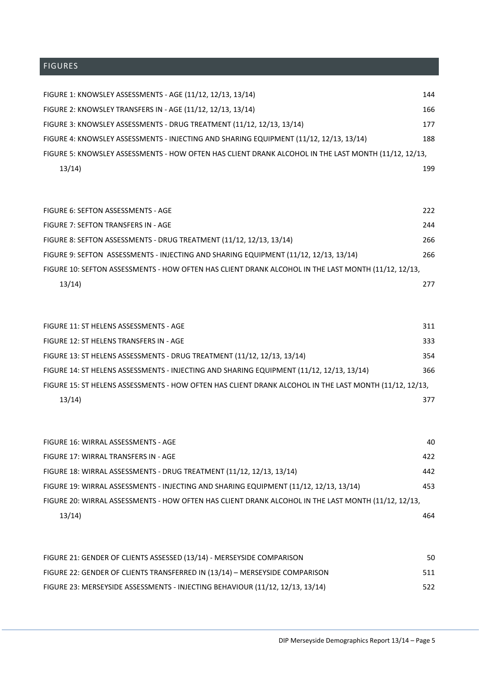<span id="page-5-0"></span>

| FIGURE 1: KNOWSLEY ASSESSMENTS - AGE (11/12, 12/13, 13/14)                                           | 144 |
|------------------------------------------------------------------------------------------------------|-----|
| FIGURE 2: KNOWSLEY TRANSFERS IN - AGE (11/12, 12/13, 13/14)                                          | 166 |
| FIGURE 3: KNOWSLEY ASSESSMENTS - DRUG TREATMENT (11/12, 12/13, 13/14)                                | 177 |
| FIGURE 4: KNOWSLEY ASSESSMENTS - INJECTING AND SHARING EQUIPMENT (11/12, 12/13, 13/14)               | 188 |
| FIGURE 5: KNOWSLEY ASSESSMENTS - HOW OFTEN HAS CLIENT DRANK ALCOHOL IN THE LAST MONTH (11/12, 12/13, |     |
| 13/14)                                                                                               | 199 |

| FIGURE 6: SEFTON ASSESSMENTS - AGE                                                                  | 222 |
|-----------------------------------------------------------------------------------------------------|-----|
| FIGURE 7: SEFTON TRANSFERS IN - AGE                                                                 | 244 |
| FIGURE 8: SEFTON ASSESSMENTS - DRUG TREATMENT (11/12, 12/13, 13/14)                                 | 266 |
| FIGURE 9: SEFTON ASSESSMENTS - INJECTING AND SHARING EQUIPMENT (11/12, 12/13, 13/14)                | 266 |
| FIGURE 10: SEFTON ASSESSMENTS - HOW OFTEN HAS CLIENT DRANK ALCOHOL IN THE LAST MONTH (11/12, 12/13, |     |
| 13/14                                                                                               | 277 |

| FIGURE 11: ST HELENS ASSESSMENTS - AGE                                                                 | 311 |
|--------------------------------------------------------------------------------------------------------|-----|
| FIGURE 12: ST HELENS TRANSFERS IN - AGE                                                                | 333 |
| FIGURE 13: ST HELENS ASSESSMENTS - DRUG TREATMENT (11/12, 12/13, 13/14)                                | 354 |
| FIGURE 14: ST HELENS ASSESSMENTS - INJECTING AND SHARING EQUIPMENT (11/12, 12/13, 13/14)               | 366 |
| FIGURE 15: ST HELENS ASSESSMENTS - HOW OFTEN HAS CLIENT DRANK ALCOHOL IN THE LAST MONTH (11/12, 12/13, |     |
| 13/14)                                                                                                 | 377 |

| FIGURE 16: WIRRAL ASSESSMENTS - AGE                                                                 | 40  |
|-----------------------------------------------------------------------------------------------------|-----|
| FIGURE 17: WIRRAL TRANSFERS IN - AGE                                                                | 422 |
| FIGURE 18: WIRRAL ASSESSMENTS - DRUG TREATMENT (11/12, 12/13, 13/14)                                | 442 |
| FIGURE 19: WIRRAL ASSESSMENTS - INJECTING AND SHARING EQUIPMENT (11/12, 12/13, 13/14)               | 453 |
| FIGURE 20: WIRRAL ASSESSMENTS - HOW OFTEN HAS CLIENT DRANK ALCOHOL IN THE LAST MONTH (11/12, 12/13, |     |
| 13/14                                                                                               | 464 |

| FIGURE 21: GENDER OF CLIENTS ASSESSED (13/14) - MERSEYSIDE COMPARISON         | 50  |
|-------------------------------------------------------------------------------|-----|
| FIGURE 22: GENDER OF CLIENTS TRANSFERRED IN (13/14) - MERSEYSIDE COMPARISON   | 511 |
| FIGURE 23: MERSEYSIDE ASSESSMENTS - INJECTING BEHAVIOUR (11/12, 12/13, 13/14) | 522 |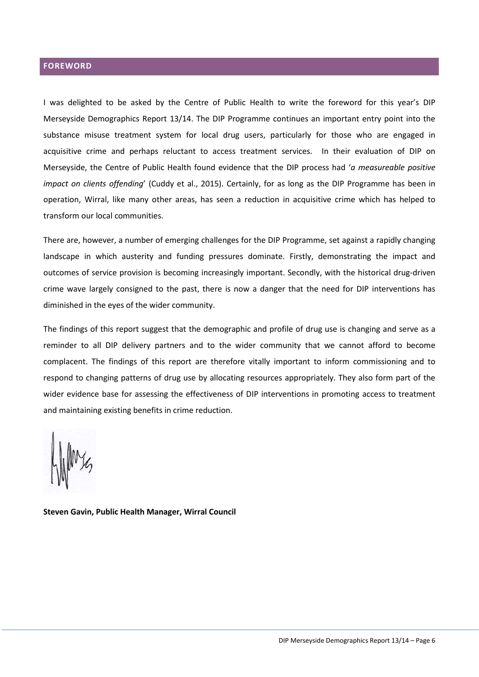## <span id="page-6-0"></span>**FOREWORD**

I was delighted to be asked by the Centre of Public Health to write the foreword for this year's DIP Merseyside Demographics Report 13/14. The DIP Programme continues an important entry point into the substance misuse treatment system for local drug users, particularly for those who are engaged in acquisitive crime and perhaps reluctant to access treatment services. In their evaluation of DIP on Merseyside, the Centre of Public Health found evidence that the DIP process had '*a measureable positive impact on clients offending*' (Cuddy et al., 2015). Certainly, for as long as the DIP Programme has been in operation, Wirral, like many other areas, has seen a reduction in acquisitive crime which has helped to transform our local communities.

There are, however, a number of emerging challenges for the DIP Programme, set against a rapidly changing landscape in which austerity and funding pressures dominate. Firstly, demonstrating the impact and outcomes of service provision is becoming increasingly important. Secondly, with the historical drug-driven crime wave largely consigned to the past, there is now a danger that the need for DIP interventions has diminished in the eyes of the wider community.

The findings of this report suggest that the demographic and profile of drug use is changing and serve as a reminder to all DIP delivery partners and to the wider community that we cannot afford to become complacent. The findings of this report are therefore vitally important to inform commissioning and to respond to changing patterns of drug use by allocating resources appropriately. They also form part of the wider evidence base for assessing the effectiveness of DIP interventions in promoting access to treatment and maintaining existing benefits in crime reduction.

**Steven Gavin, Public Health Manager, Wirral Council**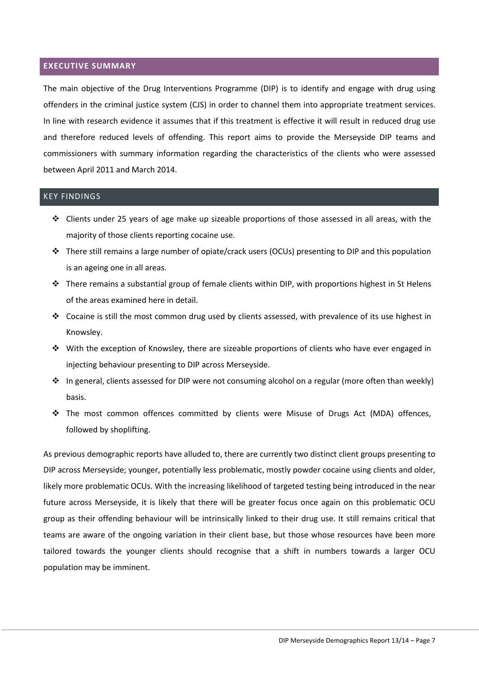#### <span id="page-7-0"></span>**EXECUTIVE SUMMARY**

The main objective of the Drug Interventions Programme (DIP) is to identify and engage with drug using offenders in the criminal justice system (CJS) in order to channel them into appropriate treatment services. In line with research evidence it assumes that if this treatment is effective it will result in reduced drug use and therefore reduced levels of offending. This report aims to provide the Merseyside DIP teams and commissioners with summary information regarding the characteristics of the clients who were assessed between April 2011 and March 2014.

## <span id="page-7-1"></span>KEY FINDINGS

- $\div$  Clients under 25 years of age make up sizeable proportions of those assessed in all areas, with the majority of those clients reporting cocaine use.
- $\div$  There still remains a large number of opiate/crack users (OCUs) presenting to DIP and this population is an ageing one in all areas.
- $\clubsuit$  There remains a substantial group of female clients within DIP, with proportions highest in St Helens of the areas examined here in detail.
- $\cdot \cdot$  Cocaine is still the most common drug used by clients assessed, with prevalence of its use highest in Knowsley.
- $\div$  With the exception of Knowsley, there are sizeable proportions of clients who have ever engaged in injecting behaviour presenting to DIP across Merseyside.
- $\cdot \cdot$  In general, clients assessed for DIP were not consuming alcohol on a regular (more often than weekly) basis.
- The most common offences committed by clients were Misuse of Drugs Act (MDA) offences, followed by shoplifting.

As previous demographic reports have alluded to, there are currently two distinct client groups presenting to DIP across Merseyside; younger, potentially less problematic, mostly powder cocaine using clients and older, likely more problematic OCUs. With the increasing likelihood of targeted testing being introduced in the near future across Merseyside, it is likely that there will be greater focus once again on this problematic OCU group as their offending behaviour will be intrinsically linked to their drug use. It still remains critical that teams are aware of the ongoing variation in their client base, but those whose resources have been more tailored towards the younger clients should recognise that a shift in numbers towards a larger OCU population may be imminent.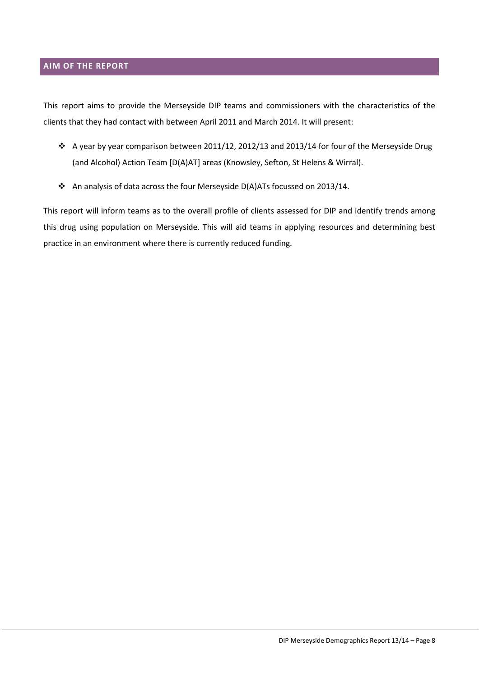#### <span id="page-8-0"></span>**AIM OF THE REPORT**

This report aims to provide the Merseyside DIP teams and commissioners with the characteristics of the clients that they had contact with between April 2011 and March 2014. It will present:

- A year by year comparison between 2011/12, 2012/13 and 2013/14 for four of the Merseyside Drug (and Alcohol) Action Team [D(A)AT] areas (Knowsley, Sefton, St Helens & Wirral).
- An analysis of data across the four Merseyside D(A)ATs focussed on 2013/14.

This report will inform teams as to the overall profile of clients assessed for DIP and identify trends among this drug using population on Merseyside. This will aid teams in applying resources and determining best practice in an environment where there is currently reduced funding.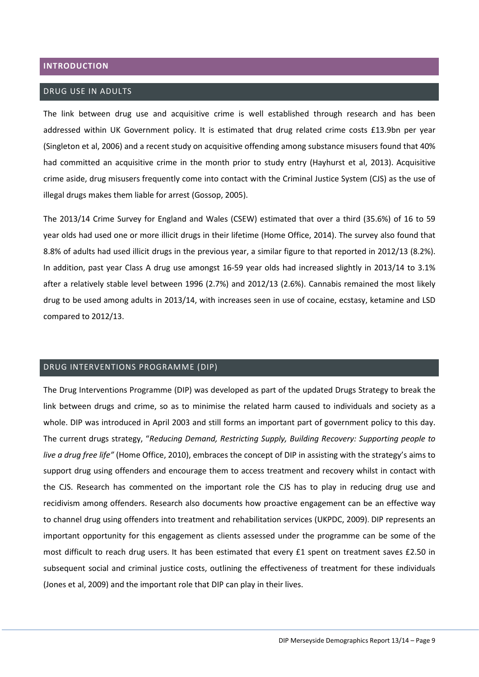#### <span id="page-9-0"></span>**INTRODUCTION**

#### <span id="page-9-1"></span>DRUG USE IN ADULTS

The link between drug use and acquisitive crime is well established through research and has been addressed within UK Government policy. It is estimated that drug related crime costs £13.9bn per year (Singleton et al, 2006) and a recent study on acquisitive offending among substance misusers found that 40% had committed an acquisitive crime in the month prior to study entry (Hayhurst et al, 2013). Acquisitive crime aside, drug misusers frequently come into contact with the Criminal Justice System (CJS) as the use of illegal drugs makes them liable for arrest (Gossop, 2005).

The 2013/14 Crime Survey for England and Wales (CSEW) estimated that over a third (35.6%) of 16 to 59 year olds had used one or more illicit drugs in their lifetime (Home Office, 2014). The survey also found that 8.8% of adults had used illicit drugs in the previous year, a similar figure to that reported in 2012/13 (8.2%). In addition, past year Class A drug use amongst 16-59 year olds had increased slightly in 2013/14 to 3.1% after a relatively stable level between 1996 (2.7%) and 2012/13 (2.6%). Cannabis remained the most likely drug to be used among adults in 2013/14, with increases seen in use of cocaine, ecstasy, ketamine and LSD compared to 2012/13.

## <span id="page-9-2"></span>DRUG INTERVENTIONS PROGRAMME (DIP)

The Drug Interventions Programme (DIP) was developed as part of the updated Drugs Strategy to break the link between drugs and crime, so as to minimise the related harm caused to individuals and society as a whole. DIP was introduced in April 2003 and still forms an important part of government policy to this day. The current drugs strategy, "*Reducing Demand, Restricting Supply, Building Recovery: Supporting people to live a drug free life"* (Home Office, 2010), embraces the concept of DIP in assisting with the strategy's aims to support drug using offenders and encourage them to access treatment and recovery whilst in contact with the CJS. Research has commented on the important role the CJS has to play in reducing drug use and recidivism among offenders. Research also documents how proactive engagement can be an effective way to channel drug using offenders into treatment and rehabilitation services (UKPDC, 2009). DIP represents an important opportunity for this engagement as clients assessed under the programme can be some of the most difficult to reach drug users. It has been estimated that every £1 spent on treatment saves £2.50 in subsequent social and criminal justice costs, outlining the effectiveness of treatment for these individuals (Jones et al, 2009) and the important role that DIP can play in their lives.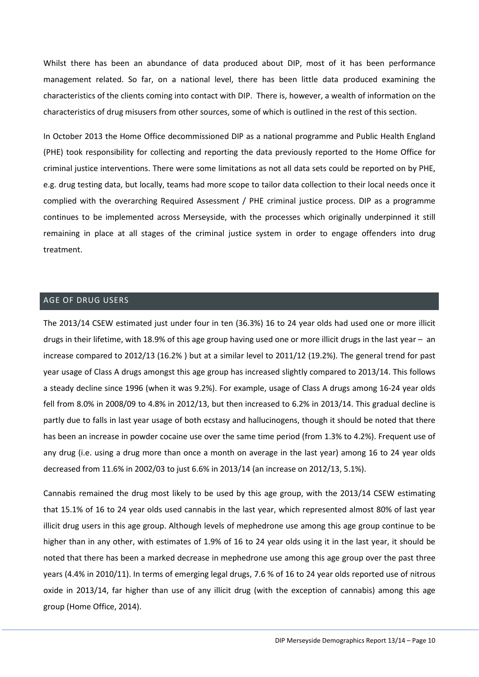Whilst there has been an abundance of data produced about DIP, most of it has been performance management related. So far, on a national level, there has been little data produced examining the characteristics of the clients coming into contact with DIP. There is, however, a wealth of information on the characteristics of drug misusers from other sources, some of which is outlined in the rest of this section.

In October 2013 the Home Office decommissioned DIP as a national programme and Public Health England (PHE) took responsibility for collecting and reporting the data previously reported to the Home Office for criminal justice interventions. There were some limitations as not all data sets could be reported on by PHE, e.g. drug testing data, but locally, teams had more scope to tailor data collection to their local needs once it complied with the overarching Required Assessment / PHE criminal justice process. DIP as a programme continues to be implemented across Merseyside, with the processes which originally underpinned it still remaining in place at all stages of the criminal justice system in order to engage offenders into drug treatment.

#### <span id="page-10-0"></span>AGE OF DRUG USERS

The 2013/14 CSEW estimated just under four in ten (36.3%) 16 to 24 year olds had used one or more illicit drugs in their lifetime, with 18.9% of this age group having used one or more illicit drugs in the last year – an increase compared to 2012/13 (16.2% ) but at a similar level to 2011/12 (19.2%). The general trend for past year usage of Class A drugs amongst this age group has increased slightly compared to 2013/14. This follows a steady decline since 1996 (when it was 9.2%). For example, usage of Class A drugs among 16-24 year olds fell from 8.0% in 2008/09 to 4.8% in 2012/13, but then increased to 6.2% in 2013/14. This gradual decline is partly due to falls in last year usage of both ecstasy and hallucinogens, though it should be noted that there has been an increase in powder cocaine use over the same time period (from 1.3% to 4.2%). Frequent use of any drug (i.e. using a drug more than once a month on average in the last year) among 16 to 24 year olds decreased from 11.6% in 2002/03 to just 6.6% in 2013/14 (an increase on 2012/13, 5.1%).

Cannabis remained the drug most likely to be used by this age group, with the 2013/14 CSEW estimating that 15.1% of 16 to 24 year olds used cannabis in the last year, which represented almost 80% of last year illicit drug users in this age group. Although levels of mephedrone use among this age group continue to be higher than in any other, with estimates of 1.9% of 16 to 24 year olds using it in the last year, it should be noted that there has been a marked decrease in mephedrone use among this age group over the past three years (4.4% in 2010/11). In terms of emerging legal drugs, 7.6 % of 16 to 24 year olds reported use of nitrous oxide in 2013/14, far higher than use of any illicit drug (with the exception of cannabis) among this age group (Home Office, 2014).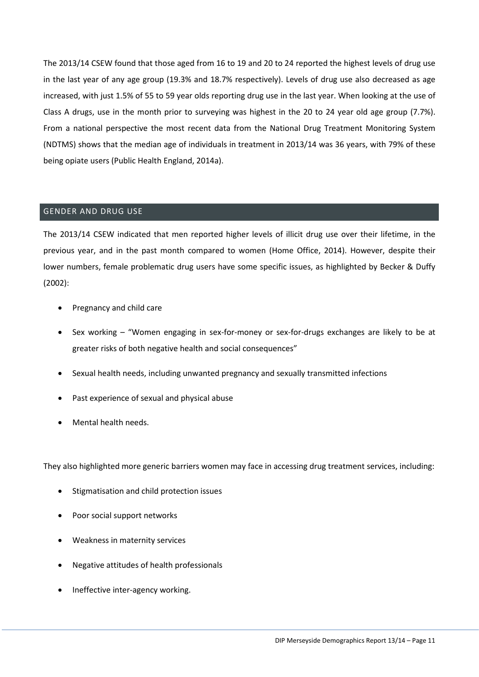The 2013/14 CSEW found that those aged from 16 to 19 and 20 to 24 reported the highest levels of drug use in the last year of any age group (19.3% and 18.7% respectively). Levels of drug use also decreased as age increased, with just 1.5% of 55 to 59 year olds reporting drug use in the last year. When looking at the use of Class A drugs, use in the month prior to surveying was highest in the 20 to 24 year old age group (7.7%). From a national perspective the most recent data from the National Drug Treatment Monitoring System (NDTMS) shows that the median age of individuals in treatment in 2013/14 was 36 years, with 79% of these being opiate users (Public Health England, 2014a).

## <span id="page-11-0"></span>GENDER AND DRUG USE

The 2013/14 CSEW indicated that men reported higher levels of illicit drug use over their lifetime, in the previous year, and in the past month compared to women (Home Office, 2014). However, despite their lower numbers, female problematic drug users have some specific issues, as highlighted by Becker & Duffy (2002):

- Pregnancy and child care
- Sex working "Women engaging in sex-for-money or sex-for-drugs exchanges are likely to be at greater risks of both negative health and social consequences"
- Sexual health needs, including unwanted pregnancy and sexually transmitted infections
- Past experience of sexual and physical abuse
- Mental health needs.

They also highlighted more generic barriers women may face in accessing drug treatment services, including:

- Stigmatisation and child protection issues
- Poor social support networks
- Weakness in maternity services
- Negative attitudes of health professionals
- Ineffective inter-agency working.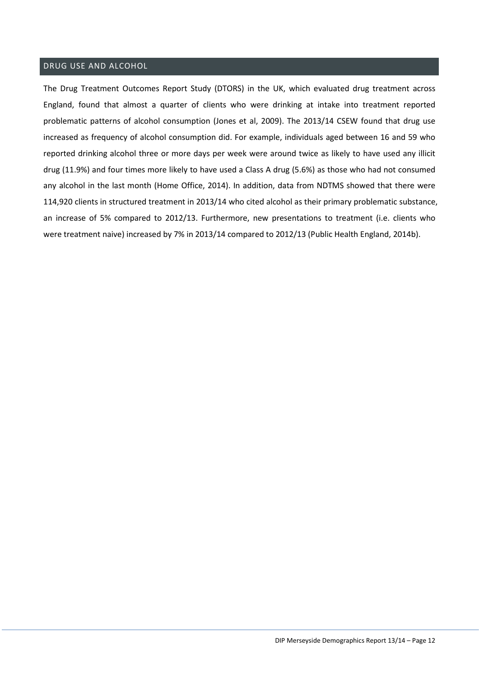# <span id="page-12-0"></span>DRUG USE AND ALCOHOL

The Drug Treatment Outcomes Report Study (DTORS) in the UK, which evaluated drug treatment across England, found that almost a quarter of clients who were drinking at intake into treatment reported problematic patterns of alcohol consumption (Jones et al, 2009). The 2013/14 CSEW found that drug use increased as frequency of alcohol consumption did. For example, individuals aged between 16 and 59 who reported drinking alcohol three or more days per week were around twice as likely to have used any illicit drug (11.9%) and four times more likely to have used a Class A drug (5.6%) as those who had not consumed any alcohol in the last month (Home Office, 2014). In addition, data from NDTMS showed that there were 114,920 clients in structured treatment in 2013/14 who cited alcohol as their primary problematic substance, an increase of 5% compared to 2012/13. Furthermore, new presentations to treatment (i.e. clients who were treatment naive) increased by 7% in 2013/14 compared to 2012/13 (Public Health England, 2014b).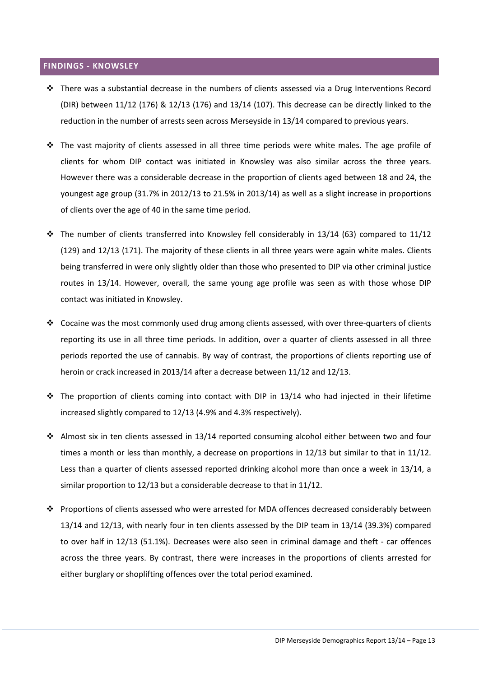#### <span id="page-13-0"></span>**FINDINGS - KNOWSLEY**

- There was a substantial decrease in the numbers of clients assessed via a Drug Interventions Record (DIR) between 11/12 (176) & 12/13 (176) and 13/14 (107). This decrease can be directly linked to the reduction in the number of arrests seen across Merseyside in 13/14 compared to previous years.
- $\cdot \cdot$  The vast majority of clients assessed in all three time periods were white males. The age profile of clients for whom DIP contact was initiated in Knowsley was also similar across the three years. However there was a considerable decrease in the proportion of clients aged between 18 and 24, the youngest age group (31.7% in 2012/13 to 21.5% in 2013/14) as well as a slight increase in proportions of clients over the age of 40 in the same time period.
- $\cdot \cdot$  The number of clients transferred into Knowsley fell considerably in 13/14 (63) compared to 11/12 (129) and 12/13 (171). The majority of these clients in all three years were again white males. Clients being transferred in were only slightly older than those who presented to DIP via other criminal justice routes in 13/14. However, overall, the same young age profile was seen as with those whose DIP contact was initiated in Knowsley.
- \* Cocaine was the most commonly used drug among clients assessed, with over three-quarters of clients reporting its use in all three time periods. In addition, over a quarter of clients assessed in all three periods reported the use of cannabis. By way of contrast, the proportions of clients reporting use of heroin or crack increased in 2013/14 after a decrease between 11/12 and 12/13.
- $\div$  The proportion of clients coming into contact with DIP in 13/14 who had injected in their lifetime increased slightly compared to 12/13 (4.9% and 4.3% respectively).
- Almost six in ten clients assessed in 13/14 reported consuming alcohol either between two and four times a month or less than monthly, a decrease on proportions in 12/13 but similar to that in 11/12. Less than a quarter of clients assessed reported drinking alcohol more than once a week in 13/14, a similar proportion to 12/13 but a considerable decrease to that in 11/12.
- Proportions of clients assessed who were arrested for MDA offences decreased considerably between 13/14 and 12/13, with nearly four in ten clients assessed by the DIP team in 13/14 (39.3%) compared to over half in 12/13 (51.1%). Decreases were also seen in criminal damage and theft - car offences across the three years. By contrast, there were increases in the proportions of clients arrested for either burglary or shoplifting offences over the total period examined.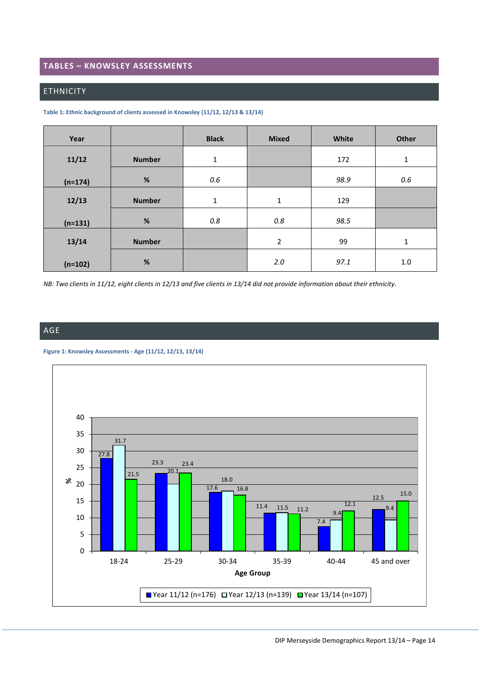## <span id="page-14-0"></span>**TABLES – KNOWSLEY ASSESSMENTS**

## <span id="page-14-1"></span>ETHNICITY

<span id="page-14-3"></span>

| Table 1: Ethnic background of clients assessed in Knowsley (11/12, 12/13 & 13/14) |  |
|-----------------------------------------------------------------------------------|--|
|-----------------------------------------------------------------------------------|--|

| Year      |               | <b>Black</b> | <b>Mixed</b>   | White | Other        |
|-----------|---------------|--------------|----------------|-------|--------------|
| 11/12     | <b>Number</b> | $\mathbf 1$  |                | 172   | $\mathbf 1$  |
| $(n=174)$ | %             | 0.6          |                | 98.9  | 0.6          |
| 12/13     | <b>Number</b> | $\mathbf 1$  | $1\,$          | 129   |              |
| $(n=131)$ | $\%$          | 0.8          | 0.8            | 98.5  |              |
| 13/14     | <b>Number</b> |              | $\overline{2}$ | 99    | $\mathbf{1}$ |
| $(n=102)$ | $\%$          |              | 2.0            | 97.1  | 1.0          |

*NB: Two clients in 11/12, eight clients in 12/13 and five clients in 13/14 did not provide information about their ethnicity.*

<span id="page-14-2"></span>AGE

<span id="page-14-4"></span>

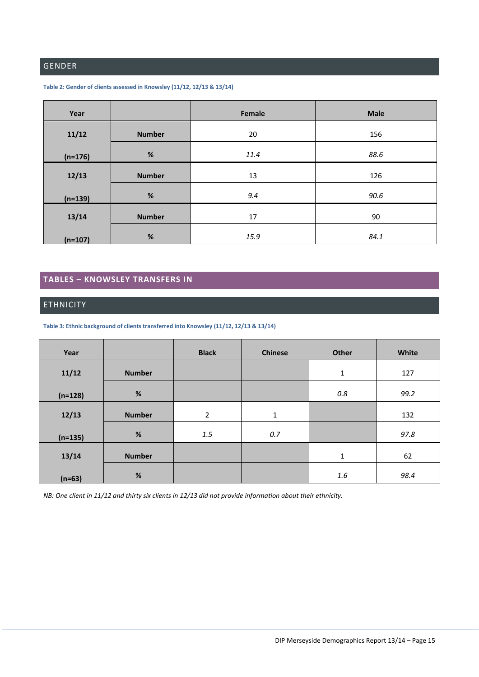# <span id="page-15-0"></span>GENDER

| Year      |               | Female | <b>Male</b> |
|-----------|---------------|--------|-------------|
| 11/12     | <b>Number</b> | 20     | 156         |
| $(n=176)$ | $\%$          | 11.4   | 88.6        |
| 12/13     | <b>Number</b> | 13     | 126         |
| $(n=139)$ | %             | 9.4    | 90.6        |
| 13/14     | <b>Number</b> | 17     | 90          |
| $(n=107)$ | $\%$          | 15.9   | 84.1        |

#### <span id="page-15-3"></span>**Table 2: Gender of clients assessed in Knowsley (11/12, 12/13 & 13/14)**

## <span id="page-15-1"></span>**TABLES – KNOWSLEY TRANSFERS IN**

# <span id="page-15-2"></span>ETHNICITY

<span id="page-15-4"></span>**Table 3: Ethnic background of clients transferred into Knowsley (11/12, 12/13 & 13/14)**

| Year      |               | <b>Black</b>   | <b>Chinese</b> | <b>Other</b> | White |
|-----------|---------------|----------------|----------------|--------------|-------|
| 11/12     | <b>Number</b> |                |                | $\mathbf 1$  | 127   |
| $(n=128)$ | $\%$          |                |                | 0.8          | 99.2  |
| 12/13     | <b>Number</b> | $\overline{2}$ | $\mathbf 1$    |              | 132   |
| $(n=135)$ | $\%$          | 1.5            | 0.7            |              | 97.8  |
| 13/14     | <b>Number</b> |                |                | $\mathbf{1}$ | 62    |
| $(n=63)$  | $\%$          |                |                | $1.6\,$      | 98.4  |

*NB: One client in 11/12 and thirty six clients in 12/13 did not provide information about their ethnicity.*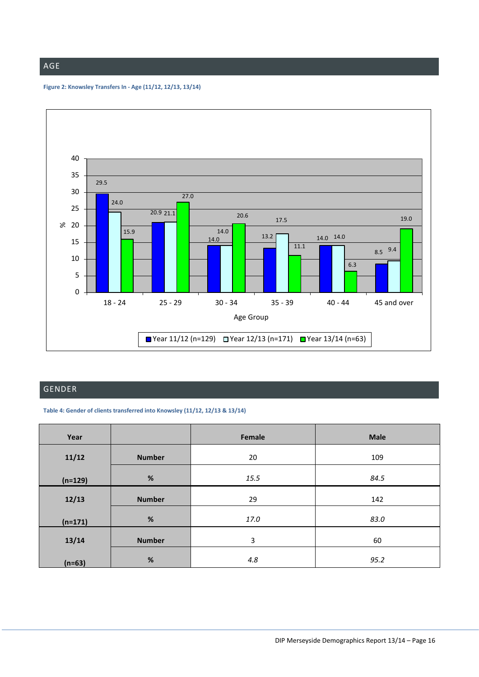# <span id="page-16-0"></span>AGE

<span id="page-16-3"></span>**Figure 2: Knowsley Transfers In - Age (11/12, 12/13, 13/14)**



# <span id="page-16-1"></span>GENDER

<span id="page-16-2"></span>**Table 4: Gender of clients transferred into Knowsley (11/12, 12/13 & 13/14)**

| Year      |               | Female | <b>Male</b> |
|-----------|---------------|--------|-------------|
| 11/12     | <b>Number</b> | 20     | 109         |
| $(n=129)$ | $\%$          | 15.5   | 84.5        |
| 12/13     | <b>Number</b> | 29     | 142         |
| $(n=171)$ | $\%$          | 17.0   | 83.0        |
| 13/14     | <b>Number</b> | 3      | 60          |
| $(n=63)$  | $\%$          | 4.8    | 95.2        |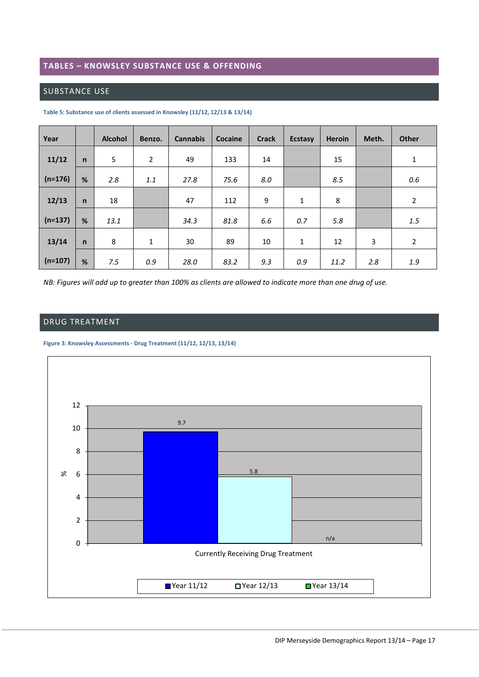## <span id="page-17-0"></span>**TABLES – KNOWSLEY SUBSTANCE USE & OFFENDING**

## <span id="page-17-1"></span>SUBSTANCE USE

| Year      |              | <b>Alcohol</b> | Benzo.         | <b>Cannabis</b> | <b>Cocaine</b> | <b>Crack</b> | <b>Ecstasy</b> | <b>Heroin</b> | Meth. | <b>Other</b>   |
|-----------|--------------|----------------|----------------|-----------------|----------------|--------------|----------------|---------------|-------|----------------|
| 11/12     | $\mathsf{n}$ | 5              | $\overline{2}$ | 49              | 133            | 14           |                | 15            |       | $\mathbf 1$    |
| $(n=176)$ | %            | 2.8            | 1.1            | 27.8            | 75.6           | 8.0          |                | 8.5           |       | 0.6            |
| 12/13     | $\mathsf{n}$ | 18             |                | 47              | 112            | 9            | $\mathbf{1}$   | 8             |       | $\overline{2}$ |
| $(n=137)$ | %            | 13.1           |                | 34.3            | 81.8           | 6.6          | 0.7            | 5.8           |       | 1.5            |
| 13/14     | $\mathsf{n}$ | 8              | $\mathbf{1}$   | 30              | 89             | 10           | 1              | 12            | 3     | $\overline{2}$ |
| $(n=107)$ | %            | 7.5            | 0.9            | 28.0            | 83.2           | 9.3          | 0.9            | 11.2          | 2.8   | 1.9            |

<span id="page-17-3"></span>**Table 5: Substance use of clients assessed in Knowsley (11/12, 12/13 & 13/14)**

*NB: Figures will add up to greater than 100% as clients are allowed to indicate more than one drug of use.*

# <span id="page-17-2"></span>DRUG TREATMENT

<span id="page-17-4"></span>**Figure 3: Knowsley Assessments - Drug Treatment (11/12, 12/13, 13/14)**

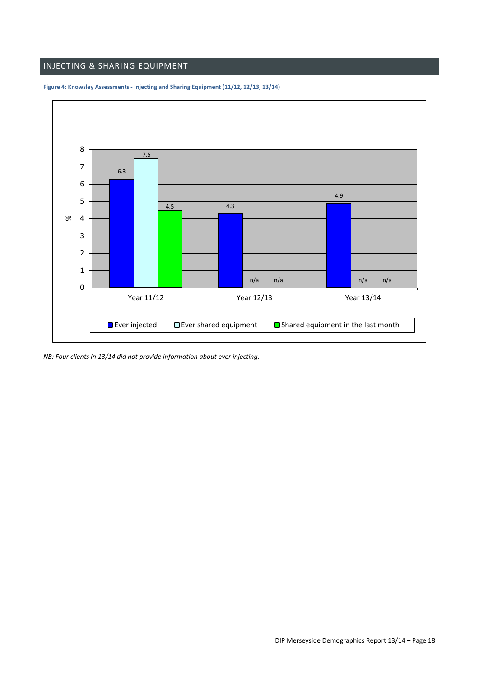# <span id="page-18-0"></span>INJECTING & SHARING EQUIPMENT



<span id="page-18-1"></span>**Figure 4: Knowsley Assessments - Injecting and Sharing Equipment (11/12, 12/13, 13/14)**

*NB: Four clients in 13/14 did not provide information about ever injecting.*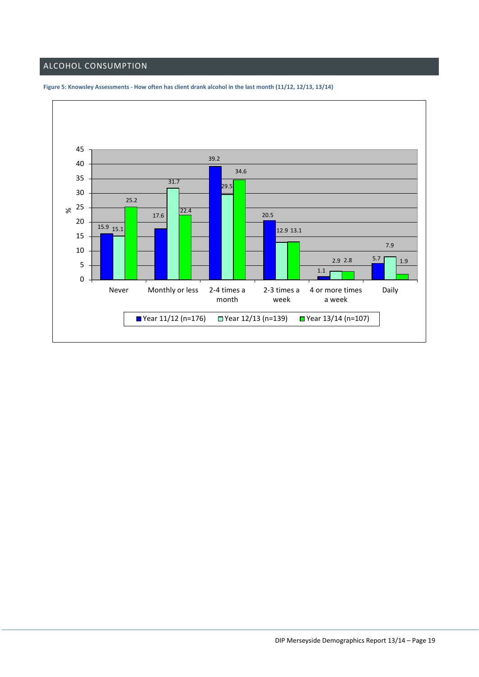# <span id="page-19-0"></span>ALCOHOL CONSUMPTION



<span id="page-19-1"></span>**Figure 5: Knowsley Assessments - How often has client drank alcohol in the last month (11/12, 12/13, 13/14)**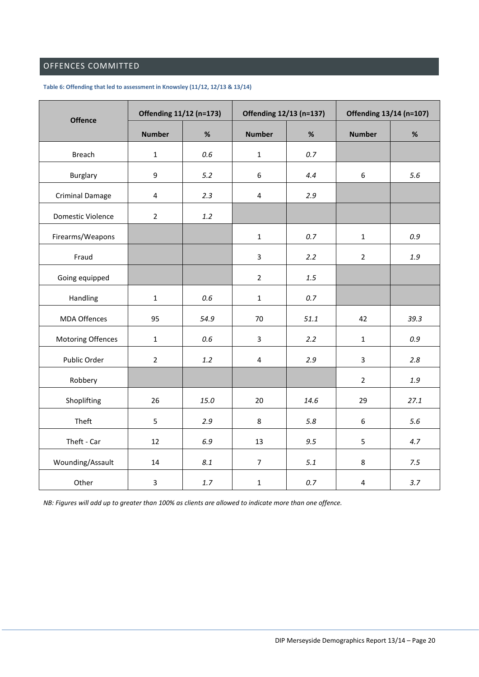# <span id="page-20-0"></span>OFFENCES COMMITTED

| <b>Offence</b>         | Offending 11/12 (n=173) |         | Offending 12/13 (n=137) |         | Offending 13/14 (n=107) |         |
|------------------------|-------------------------|---------|-------------------------|---------|-------------------------|---------|
|                        | <b>Number</b>           | $\%$    | <b>Number</b>           | $\%$    | <b>Number</b>           | $\%$    |
| <b>Breach</b>          | $\mathbf{1}$            | 0.6     | $\mathbf{1}$            | 0.7     |                         |         |
| <b>Burglary</b>        | 9                       | 5.2     | $\boldsymbol{6}$        | 4.4     | $\boldsymbol{6}$        | 5.6     |
| <b>Criminal Damage</b> | $\overline{4}$          | 2.3     | $\sqrt{4}$              | 2.9     |                         |         |
| Domestic Violence      | $\overline{2}$          | $1.2$   |                         |         |                         |         |
| Firearms/Weapons       |                         |         | $\mathbf{1}$            | 0.7     | $\mathbf 1$             | 0.9     |
| Fraud                  |                         |         | 3                       | 2.2     | $\mathbf 2$             | $1.9\,$ |
| Going equipped         |                         |         | $\overline{2}$          | $1.5\,$ |                         |         |
| Handling               | $\mathbf 1$             | $0.6\,$ | $\mathbf 1$             | $0.7\,$ |                         |         |
| <b>MDA Offences</b>    | 95                      | 54.9    | 70                      | 51.1    | 42                      | 39.3    |
| Motoring Offences      | $\mathbf{1}$            | 0.6     | 3                       | 2.2     | $\mathbf 1$             | 0.9     |
| Public Order           | $\overline{2}$          | $1.2\,$ | $\overline{4}$          | 2.9     | $\overline{\mathbf{3}}$ | 2.8     |
| Robbery                |                         |         |                         |         | $\overline{2}$          | $1.9\,$ |
| Shoplifting            | 26                      | 15.0    | 20                      | 14.6    | 29                      | 27.1    |
| Theft                  | 5                       | 2.9     | 8                       | 5.8     | 6                       | 5.6     |
| Theft - Car            | 12                      | 6.9     | 13                      | 9.5     | 5                       | 4.7     |
| Wounding/Assault       | 14                      | 8.1     | $\overline{7}$          | 5.1     | 8                       | 7.5     |
| Other                  | 3                       | $1.7\,$ | $\mathbf 1$             | $0.7\,$ | $\pmb{4}$               | 3.7     |

#### <span id="page-20-1"></span>**Table 6: Offending that led to assessment in Knowsley (11/12, 12/13 & 13/14)**

*NB: Figures will add up to greater than 100% as clients are allowed to indicate more than one offence.*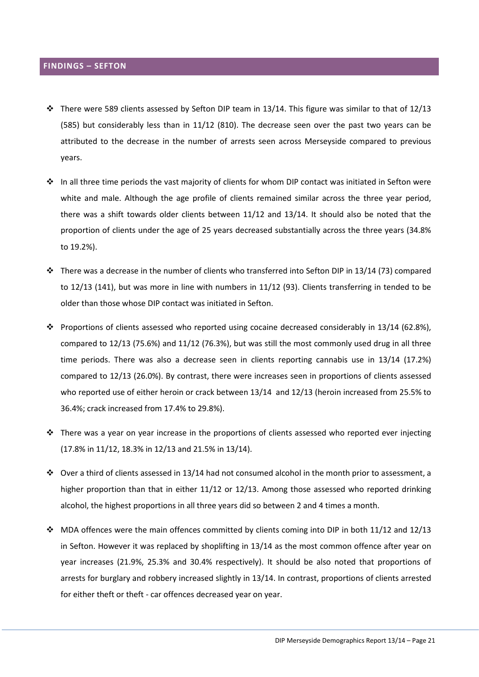## <span id="page-21-0"></span>**FINDINGS – SEFTON**

- $\cdot \cdot$  There were 589 clients assessed by Sefton DIP team in 13/14. This figure was similar to that of 12/13 (585) but considerably less than in 11/12 (810). The decrease seen over the past two years can be attributed to the decrease in the number of arrests seen across Merseyside compared to previous years.
- $\cdot \cdot$  In all three time periods the vast majority of clients for whom DIP contact was initiated in Sefton were white and male. Although the age profile of clients remained similar across the three year period, there was a shift towards older clients between 11/12 and 13/14. It should also be noted that the proportion of clients under the age of 25 years decreased substantially across the three years (34.8% to 19.2%).
- There was a decrease in the number of clients who transferred into Sefton DIP in 13/14 (73) compared to 12/13 (141), but was more in line with numbers in 11/12 (93). Clients transferring in tended to be older than those whose DIP contact was initiated in Sefton.
- Proportions of clients assessed who reported using cocaine decreased considerably in 13/14 (62.8%), compared to 12/13 (75.6%) and 11/12 (76.3%), but was still the most commonly used drug in all three time periods. There was also a decrease seen in clients reporting cannabis use in 13/14 (17.2%) compared to 12/13 (26.0%). By contrast, there were increases seen in proportions of clients assessed who reported use of either heroin or crack between 13/14 and 12/13 (heroin increased from 25.5% to 36.4%; crack increased from 17.4% to 29.8%).
- $\cdot \cdot$  There was a year on year increase in the proportions of clients assessed who reported ever injecting (17.8% in 11/12, 18.3% in 12/13 and 21.5% in 13/14).
- $\cdot \cdot$  Over a third of clients assessed in 13/14 had not consumed alcohol in the month prior to assessment, a higher proportion than that in either 11/12 or 12/13. Among those assessed who reported drinking alcohol, the highest proportions in all three years did so between 2 and 4 times a month.
- MDA offences were the main offences committed by clients coming into DIP in both 11/12 and 12/13 in Sefton. However it was replaced by shoplifting in 13/14 as the most common offence after year on year increases (21.9%, 25.3% and 30.4% respectively). It should be also noted that proportions of arrests for burglary and robbery increased slightly in 13/14. In contrast, proportions of clients arrested for either theft or theft - car offences decreased year on year.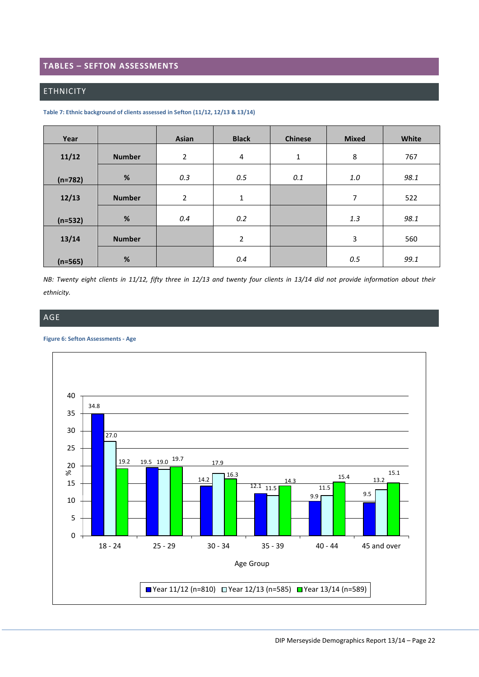#### <span id="page-22-0"></span>**TABLES – SEFTON ASSESSMENTS**

#### <span id="page-22-1"></span>ETHNICITY

| Year      |               | Asian          | <b>Black</b>   | <b>Chinese</b> | <b>Mixed</b> | White |
|-----------|---------------|----------------|----------------|----------------|--------------|-------|
| 11/12     | <b>Number</b> | $\overline{2}$ | 4              | $\mathbf{1}$   | 8            | 767   |
| $(n=782)$ | $\%$          | 0.3            | 0.5            | 0.1            | 1.0          | 98.1  |
| 12/13     | <b>Number</b> | $\overline{2}$ | 1              |                | 7            | 522   |
| $(n=532)$ | $\%$          | 0.4            | 0.2            |                | 1.3          | 98.1  |
| 13/14     | <b>Number</b> |                | $\overline{2}$ |                | 3            | 560   |
| $(n=565)$ | $\%$          |                | 0.4            |                | 0.5          | 99.1  |

<span id="page-22-3"></span>**Table 7: Ethnic background of clients assessed in Sefton (11/12, 12/13 & 13/14)**

*NB: Twenty eight clients in 11/12, fifty three in 12/13 and twenty four clients in 13/14 did not provide information about their ethnicity.*

## <span id="page-22-2"></span>AGE

#### <span id="page-22-4"></span>**Figure 6: Sefton Assessments - Age**

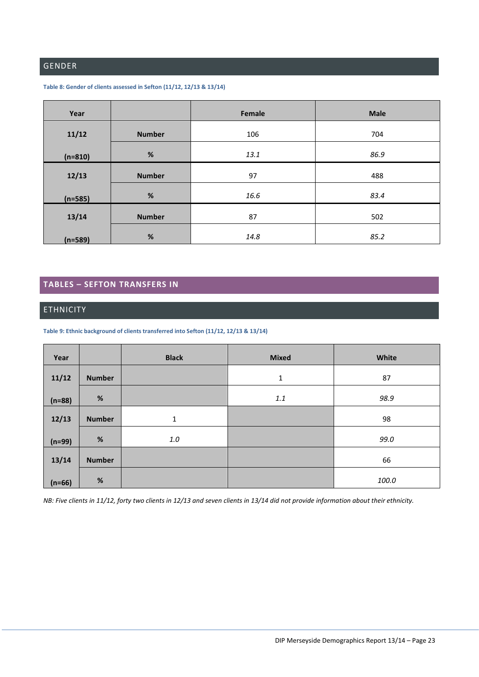# <span id="page-23-0"></span>GENDER

#### <span id="page-23-3"></span>**Table 8: Gender of clients assessed in Sefton (11/12, 12/13 & 13/14)**

| Year      |               | Female | <b>Male</b> |
|-----------|---------------|--------|-------------|
| 11/12     | <b>Number</b> | 106    | 704         |
| $(n=810)$ | $\%$          | 13.1   | 86.9        |
| 12/13     | <b>Number</b> | 97     | 488         |
| $(n=585)$ | %             | 16.6   | 83.4        |
| 13/14     | <b>Number</b> | 87     | 502         |
| $(n=589)$ | %             | 14.8   | 85.2        |

# <span id="page-23-1"></span>**TABLES – SEFTON TRANSFERS IN**

#### <span id="page-23-2"></span>**ETHNICITY**

<span id="page-23-4"></span>**Table 9: Ethnic background of clients transferred into Sefton (11/12, 12/13 & 13/14)**

| Year     |               | <b>Black</b> | <b>Mixed</b> | White |
|----------|---------------|--------------|--------------|-------|
| 11/12    | <b>Number</b> |              | 1            | 87    |
| $(n=88)$ | $\%$          |              | 1.1          | 98.9  |
| 12/13    | <b>Number</b> | 1            |              | 98    |
| $(n=99)$ | $\%$          | $1.0\,$      |              | 99.0  |
| 13/14    | <b>Number</b> |              |              | 66    |
| $(n=66)$ | $\%$          |              |              | 100.0 |

*NB: Five clients in 11/12, forty two clients in 12/13 and seven clients in 13/14 did not provide information about their ethnicity.*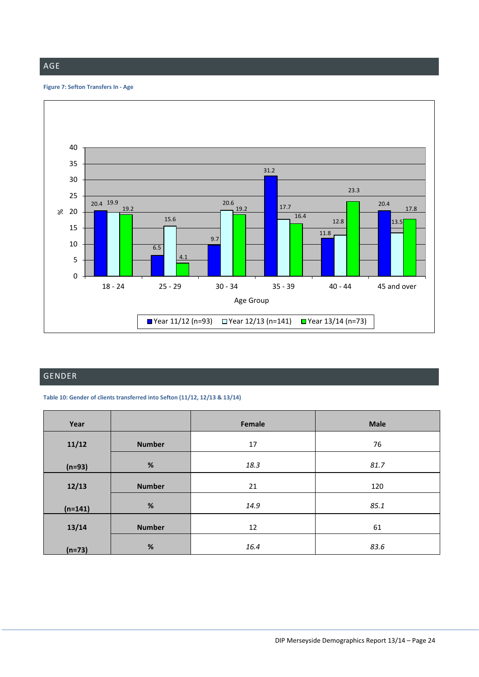## <span id="page-24-0"></span>AGE

#### <span id="page-24-3"></span>**Figure 7: Sefton Transfers In - Age**



# <span id="page-24-1"></span>GENDER

<span id="page-24-2"></span>**Table 10: Gender of clients transferred into Sefton (11/12, 12/13 & 13/14)**

| Year      |               | Female | <b>Male</b> |
|-----------|---------------|--------|-------------|
| 11/12     | <b>Number</b> | 17     | 76          |
| $(n=93)$  | $\%$          | 18.3   | 81.7        |
| 12/13     | <b>Number</b> | 21     | 120         |
| $(n=141)$ | $\%$          | 14.9   | 85.1        |
| 13/14     | <b>Number</b> | 12     | 61          |
| $(n=73)$  | %             | 16.4   | 83.6        |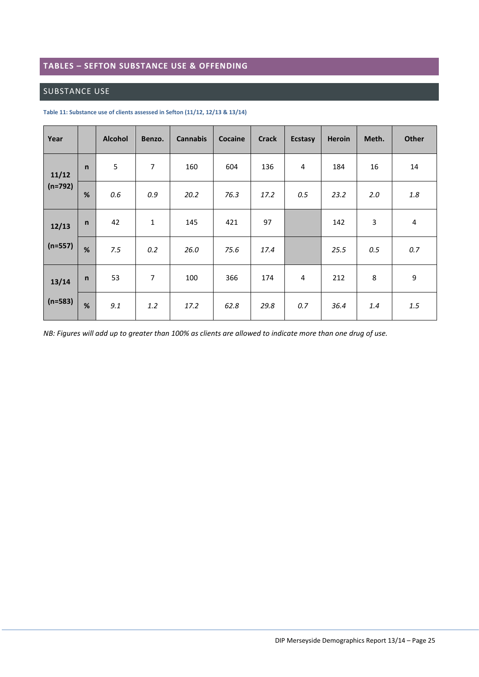# <span id="page-25-0"></span>**TABLES – SEFTON SUBSTANCE USE & OFFENDING**

## <span id="page-25-1"></span>SUBSTANCE USE

| Year      |              | <b>Alcohol</b> | Benzo.         | <b>Cannabis</b> | Cocaine | <b>Crack</b> | <b>Ecstasy</b> | <b>Heroin</b> | Meth. | <b>Other</b>   |
|-----------|--------------|----------------|----------------|-----------------|---------|--------------|----------------|---------------|-------|----------------|
| 11/12     | $\mathsf{n}$ | 5              | $\overline{7}$ | 160             | 604     | 136          | 4              | 184           | 16    | 14             |
| $(n=792)$ | %            | 0.6            | 0.9            | 20.2            | 76.3    | 17.2         | 0.5            | 23.2          | 2.0   | 1.8            |
| 12/13     | $\mathsf{n}$ | 42             | $\mathbf{1}$   | 145             | 421     | 97           |                | 142           | 3     | $\overline{4}$ |
| $(n=557)$ | %            | 7.5            | 0.2            | 26.0            | 75.6    | 17.4         |                | 25.5          | 0.5   | 0.7            |
| 13/14     | $\mathsf{n}$ | 53             | 7              | 100             | 366     | 174          | $\overline{4}$ | 212           | 8     | 9              |
| $(n=583)$ | %            | 9.1            | 1.2            | 17.2            | 62.8    | 29.8         | 0.7            | 36.4          | 1.4   | 1.5            |

<span id="page-25-2"></span>**Table 11: Substance use of clients assessed in Sefton (11/12, 12/13 & 13/14)**

*NB: Figures will add up to greater than 100% as clients are allowed to indicate more than one drug of use.*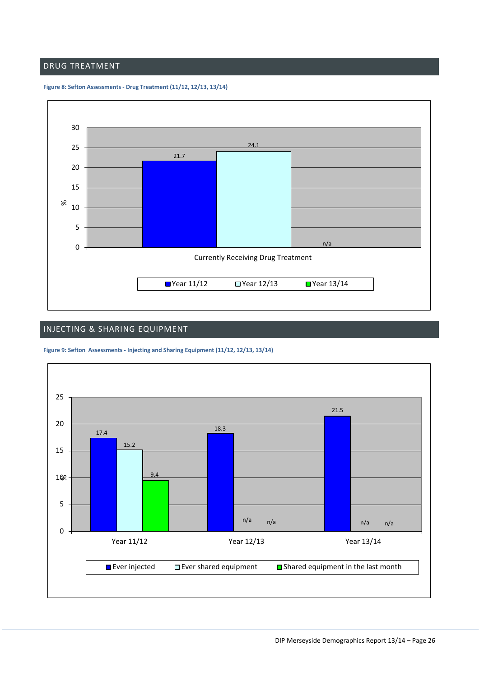#### <span id="page-26-0"></span>DRUG TREATMENT

<span id="page-26-2"></span>



## <span id="page-26-1"></span>INJECTING & SHARING EQUIPMENT

<span id="page-26-3"></span>

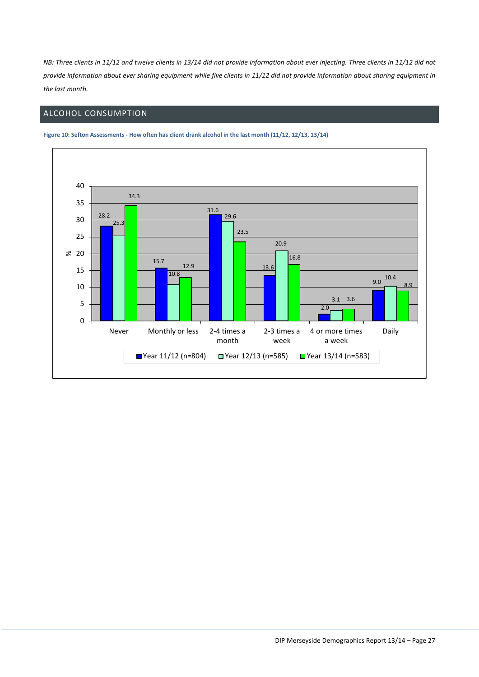*NB: Three clients in 11/12 and twelve clients in 13/14 did not provide information about ever injecting. Three clients in 11/12 did not provide information about ever sharing equipment while five clients in 11/12 did not provide information about sharing equipment in the last month.*

# <span id="page-27-0"></span>ALCOHOL CONSUMPTION



<span id="page-27-1"></span>**Figure 10: Sefton Assessments - How often has client drank alcohol in the last month (11/12, 12/13, 13/14)**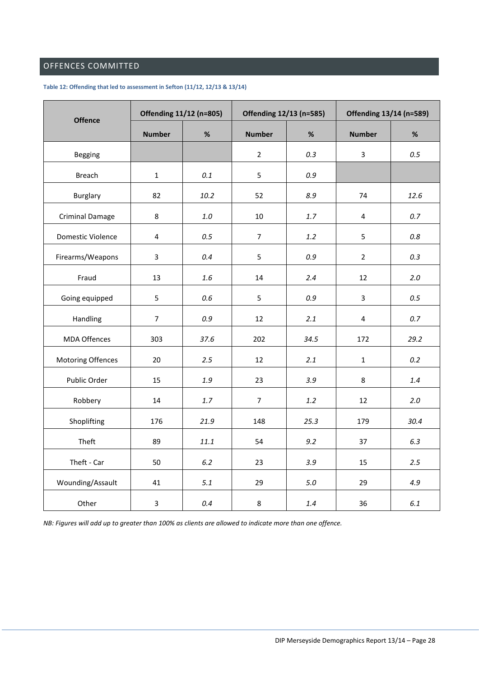# <span id="page-28-0"></span>OFFENCES COMMITTED

#### <span id="page-28-1"></span>**Table 12: Offending that led to assessment in Sefton (11/12, 12/13 & 13/14)**

| <b>Offence</b>         | Offending 11/12 (n=805) |         | Offending 12/13 (n=585) |         | Offending 13/14 (n=589) |       |
|------------------------|-------------------------|---------|-------------------------|---------|-------------------------|-------|
|                        | <b>Number</b>           | %       | <b>Number</b>           | %       | <b>Number</b>           | $\%$  |
| Begging                |                         |         | $\overline{2}$          | 0.3     | $\overline{3}$          | 0.5   |
| <b>Breach</b>          | $\mathbf{1}$            | 0.1     | 5                       | $0.9\,$ |                         |       |
| Burglary               | 82                      | 10.2    | 52                      | 8.9     | 74                      | 12.6  |
| <b>Criminal Damage</b> | 8                       | $1.0\,$ | 10                      | $1.7$   | 4                       | 0.7   |
| Domestic Violence      | 4                       | 0.5     | $\overline{7}$          | 1.2     | 5                       | 0.8   |
| Firearms/Weapons       | $\overline{3}$          | 0.4     | 5                       | 0.9     | $\overline{2}$          | 0.3   |
| Fraud                  | 13                      | 1.6     | 14                      | 2.4     | 12                      | $2.0$ |
| Going equipped         | 5                       | 0.6     | 5                       | $0.9\,$ | $\mathbf{3}$            | 0.5   |
| Handling               | $\overline{7}$          | 0.9     | 12                      | 2.1     | 4                       | 0.7   |
| <b>MDA Offences</b>    | 303                     | 37.6    | 202                     | 34.5    | 172                     | 29.2  |
| Motoring Offences      | 20                      | 2.5     | 12                      | 2.1     | $\mathbf{1}$            | 0.2   |
| Public Order           | 15                      | 1.9     | 23                      | 3.9     | 8                       | 1.4   |
| Robbery                | 14                      | 1.7     | $\overline{7}$          | 1.2     | 12                      | 2.0   |
| Shoplifting            | 176                     | 21.9    | 148                     | 25.3    | 179                     | 30.4  |
| Theft                  | 89                      | 11.1    | 54                      | 9.2     | 37                      | 6.3   |
| Theft - Car            | 50                      | 6.2     | 23                      | 3.9     | 15                      | 2.5   |
| Wounding/Assault       | 41                      | 5.1     | 29                      | $5.0\,$ | 29                      | 4.9   |
| Other                  | $\overline{3}$          | 0.4     | 8                       | 1.4     | 36                      | 6.1   |

*NB: Figures will add up to greater than 100% as clients are allowed to indicate more than one offence.*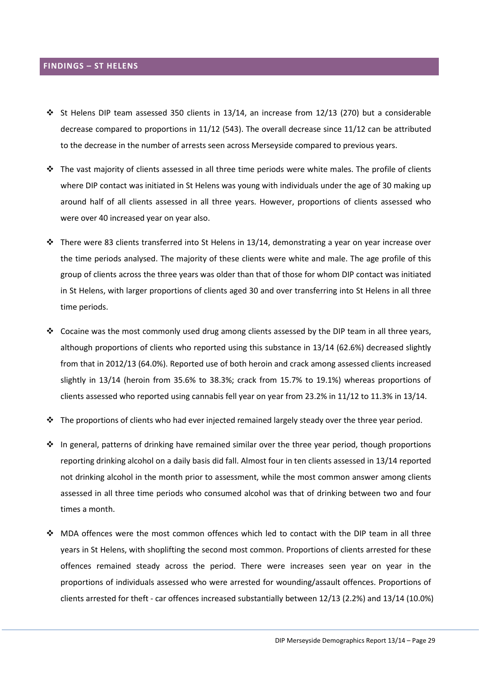#### <span id="page-29-0"></span>**FINDINGS – ST HELENS**

- St Helens DIP team assessed 350 clients in 13/14, an increase from 12/13 (270) but a considerable decrease compared to proportions in 11/12 (543). The overall decrease since 11/12 can be attributed to the decrease in the number of arrests seen across Merseyside compared to previous years.
- $\cdot \cdot$  The vast majority of clients assessed in all three time periods were white males. The profile of clients where DIP contact was initiated in St Helens was young with individuals under the age of 30 making up around half of all clients assessed in all three years. However, proportions of clients assessed who were over 40 increased year on year also.
- $\cdot \cdot$  There were 83 clients transferred into St Helens in 13/14, demonstrating a year on year increase over the time periods analysed. The majority of these clients were white and male. The age profile of this group of clients across the three years was older than that of those for whom DIP contact was initiated in St Helens, with larger proportions of clients aged 30 and over transferring into St Helens in all three time periods.
- Cocaine was the most commonly used drug among clients assessed by the DIP team in all three years, although proportions of clients who reported using this substance in 13/14 (62.6%) decreased slightly from that in 2012/13 (64.0%). Reported use of both heroin and crack among assessed clients increased slightly in 13/14 (heroin from 35.6% to 38.3%; crack from 15.7% to 19.1%) whereas proportions of clients assessed who reported using cannabis fell year on year from 23.2% in 11/12 to 11.3% in 13/14.
- $\cdot \cdot$  The proportions of clients who had ever injected remained largely steady over the three year period.
- $\cdot \cdot$  In general, patterns of drinking have remained similar over the three year period, though proportions reporting drinking alcohol on a daily basis did fall. Almost four in ten clients assessed in 13/14 reported not drinking alcohol in the month prior to assessment, while the most common answer among clients assessed in all three time periods who consumed alcohol was that of drinking between two and four times a month.
- MDA offences were the most common offences which led to contact with the DIP team in all three years in St Helens, with shoplifting the second most common. Proportions of clients arrested for these offences remained steady across the period. There were increases seen year on year in the proportions of individuals assessed who were arrested for wounding/assault offences. Proportions of clients arrested for theft - car offences increased substantially between 12/13 (2.2%) and 13/14 (10.0%)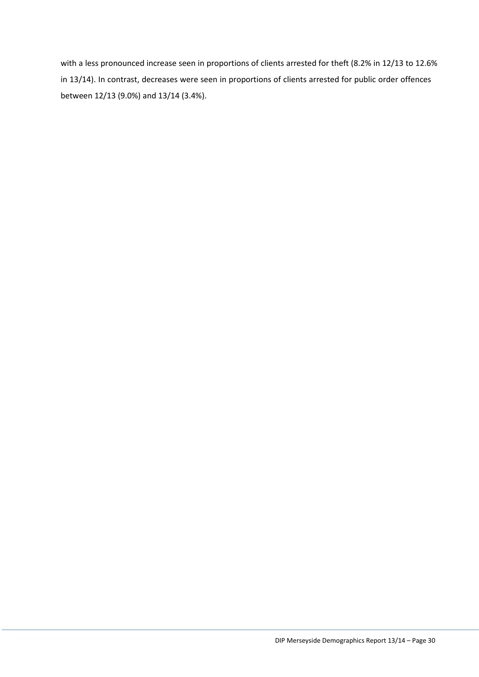with a less pronounced increase seen in proportions of clients arrested for theft (8.2% in 12/13 to 12.6% in 13/14). In contrast, decreases were seen in proportions of clients arrested for public order offences between 12/13 (9.0%) and 13/14 (3.4%).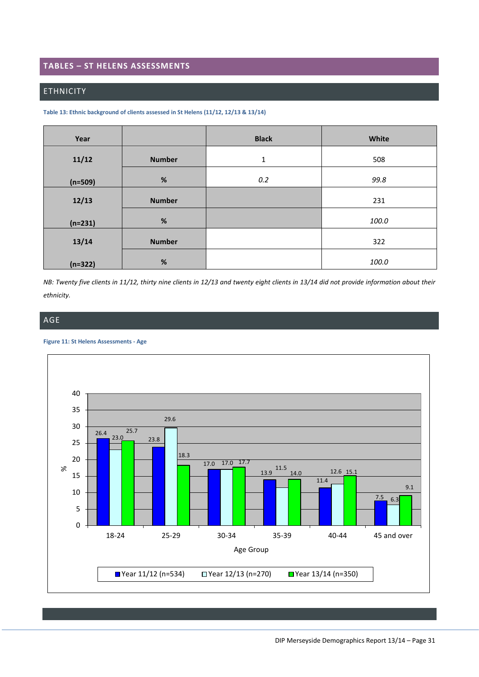#### <span id="page-31-0"></span>**TABLES – ST HELENS ASSESSMENTS**

#### <span id="page-31-1"></span>ETHNICITY

<span id="page-31-3"></span>

| Table 13: Ethnic background of clients assessed in St Helens (11/12, 12/13 & 13/14) |  |
|-------------------------------------------------------------------------------------|--|
|-------------------------------------------------------------------------------------|--|

| Year      |               | <b>Black</b> | White |
|-----------|---------------|--------------|-------|
| 11/12     | <b>Number</b> | $\mathbf{1}$ | 508   |
| $(n=509)$ | $\%$          | 0.2          | 99.8  |
| 12/13     | <b>Number</b> |              | 231   |
| $(n=231)$ | $\%$          |              | 100.0 |
| 13/14     | <b>Number</b> |              | 322   |
| $(n=322)$ | $\%$          |              | 100.0 |

*NB: Twenty five clients in 11/12, thirty nine clients in 12/13 and twenty eight clients in 13/14 did not provide information about their ethnicity.*

## <span id="page-31-2"></span>AGE

#### <span id="page-31-4"></span>**Figure 11: St Helens Assessments - Age**

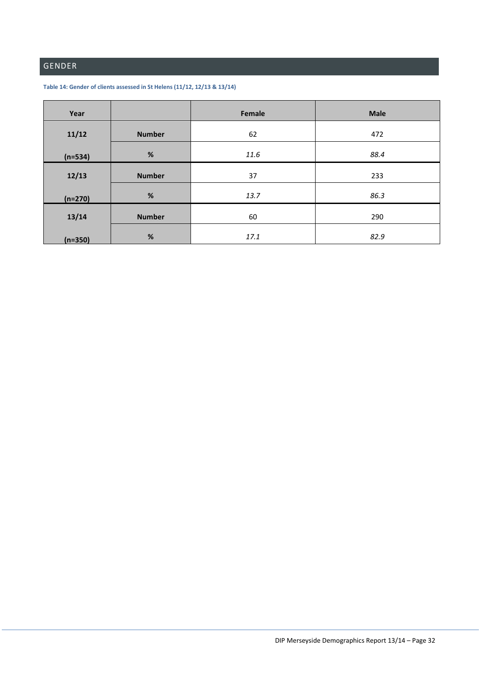# <span id="page-32-0"></span>GENDER

<span id="page-32-1"></span>

| Year      |               | Female | <b>Male</b> |
|-----------|---------------|--------|-------------|
| 11/12     | <b>Number</b> | 62     | 472         |
| $(n=534)$ | $\%$          | 11.6   | 88.4        |
| 12/13     | <b>Number</b> | 37     | 233         |
| $(n=270)$ | %             | 13.7   | 86.3        |
| 13/14     | <b>Number</b> | 60     | 290         |
| $(n=350)$ | $\%$          | 17.1   | 82.9        |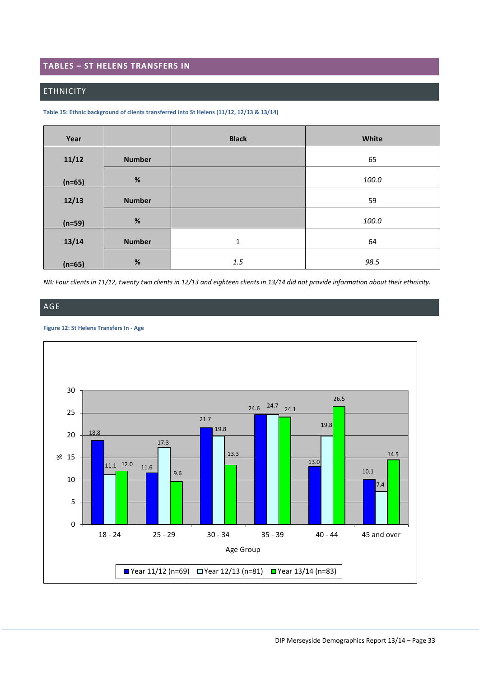## <span id="page-33-0"></span>**TABLES – ST HELENS TRANSFERS IN**

#### <span id="page-33-1"></span>ETHNICITY

<span id="page-33-3"></span>**Table 15: Ethnic background of clients transferred into St Helens (11/12, 12/13 & 13/14)**

| Year     |               | <b>Black</b> | White |
|----------|---------------|--------------|-------|
| 11/12    | <b>Number</b> |              | 65    |
| $(n=65)$ | $\%$          |              | 100.0 |
| 12/13    | <b>Number</b> |              | 59    |
| $(n=59)$ | $\%$          |              | 100.0 |
| 13/14    | <b>Number</b> | $\mathbf{1}$ | 64    |
| $(n=65)$ | $\%$          | $1.5\,$      | 98.5  |

*NB: Four clients in 11/12, twenty two clients in 12/13 and eighteen clients in 13/14 did not provide information about their ethnicity.*

# <span id="page-33-2"></span>AGE

#### <span id="page-33-4"></span>**Figure 12: St Helens Transfers In - Age**

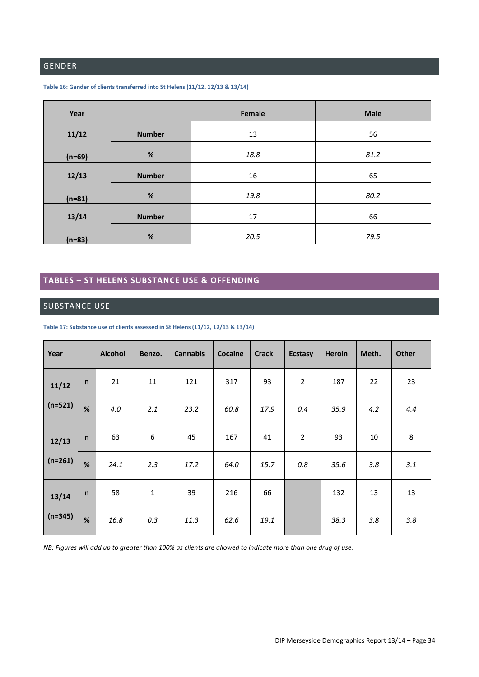# <span id="page-34-0"></span>GENDER

| Year     |               | Female | <b>Male</b> |
|----------|---------------|--------|-------------|
| 11/12    | <b>Number</b> | 13     | 56          |
| $(n=69)$ | $\%$          | 18.8   | 81.2        |
| 12/13    | <b>Number</b> | 16     | 65          |
| $(n=81)$ | $\%$          | 19.8   | 80.2        |
| 13/14    | <b>Number</b> | 17     | 66          |
| $(n=83)$ | $\%$          | 20.5   | 79.5        |

#### <span id="page-34-3"></span>**Table 16: Gender of clients transferred into St Helens (11/12, 12/13 & 13/14)**

# <span id="page-34-1"></span>**TABLES – ST HELENS SUBSTANCE USE & OFFENDING**

#### <span id="page-34-2"></span>SUBSTANCE USE

<span id="page-34-4"></span>**Table 17: Substance use of clients assessed in St Helens (11/12, 12/13 & 13/14)**

| Year      |              | <b>Alcohol</b> | Benzo. | <b>Cannabis</b> | Cocaine | <b>Crack</b> | <b>Ecstasy</b> | <b>Heroin</b> | Meth. | Other |
|-----------|--------------|----------------|--------|-----------------|---------|--------------|----------------|---------------|-------|-------|
| 11/12     | $\mathsf{n}$ | 21             | 11     | 121             | 317     | 93           | 2              | 187           | 22    | 23    |
| $(n=521)$ | %            | 4.0            | 2.1    | 23.2            | 60.8    | 17.9         | 0.4            | 35.9          | 4.2   | 4.4   |
| 12/13     | $\mathsf{n}$ | 63             | 6      | 45              | 167     | 41           | $\overline{2}$ | 93            | 10    | 8     |
| $(n=261)$ | %            | 24.1           | 2.3    | 17.2            | 64.0    | 15.7         | 0.8            | 35.6          | 3.8   | 3.1   |
| 13/14     | $\mathsf{n}$ | 58             | 1      | 39              | 216     | 66           |                | 132           | 13    | 13    |
| $(n=345)$ | %            | 16.8           | 0.3    | 11.3            | 62.6    | 19.1         |                | 38.3          | 3.8   | 3.8   |

*NB: Figures will add up to greater than 100% as clients are allowed to indicate more than one drug of use.*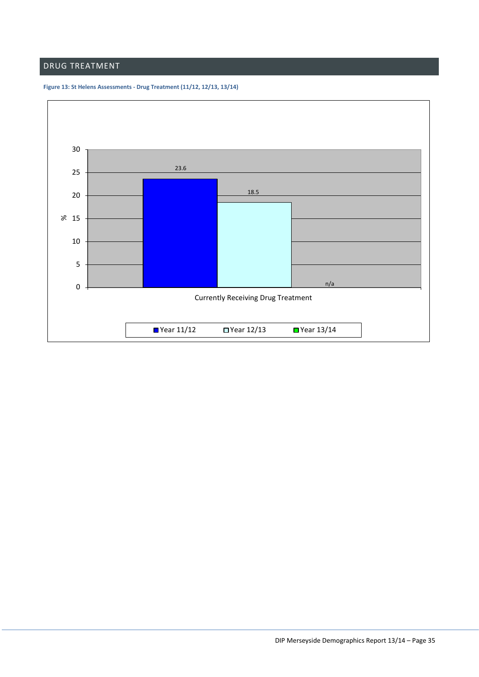# <span id="page-35-0"></span>DRUG TREATMENT

<span id="page-35-1"></span>

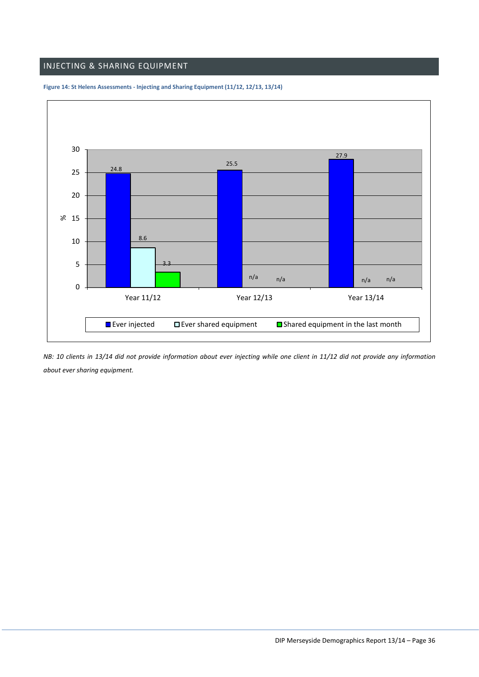## <span id="page-36-0"></span>INJECTING & SHARING EQUIPMENT



#### <span id="page-36-1"></span>**Figure 14: St Helens Assessments - Injecting and Sharing Equipment (11/12, 12/13, 13/14)**

*NB: 10 clients in 13/14 did not provide information about ever injecting while one client in 11/12 did not provide any information about ever sharing equipment.*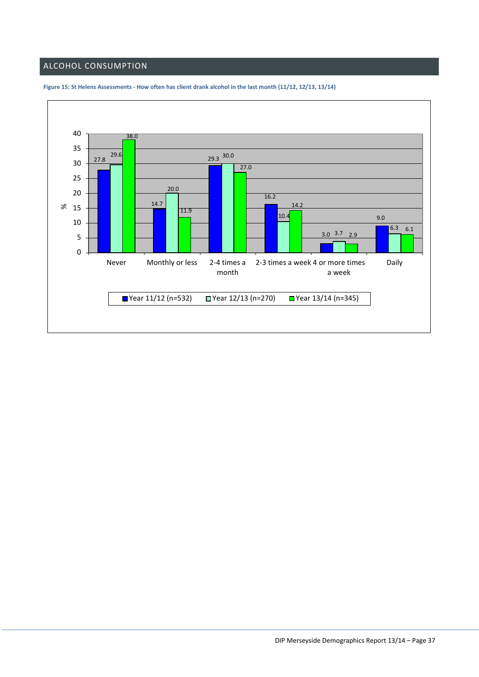# <span id="page-37-0"></span>ALCOHOL CONSUMPTION



<span id="page-37-1"></span>**Figure 15: St Helens Assessments - How often has client drank alcohol in the last month (11/12, 12/13, 13/14)**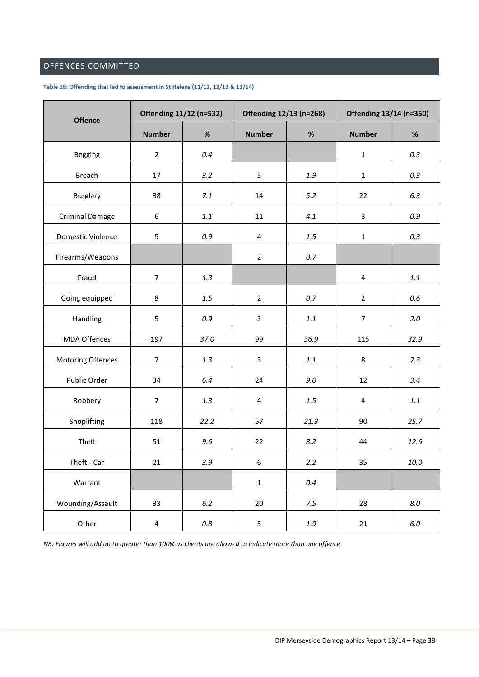# <span id="page-38-0"></span>OFFENCES COMMITTED

#### <span id="page-38-1"></span>**Table 18: Offending that led to assessment in St Helens (11/12, 12/13 & 13/14)**

| <b>Offence</b>         | Offending 11/12 (n=532) |         | Offending 12/13 (n=268) |         | Offending 13/14 (n=350) |          |
|------------------------|-------------------------|---------|-------------------------|---------|-------------------------|----------|
|                        | <b>Number</b>           | $\%$    | <b>Number</b>           | $\%$    | <b>Number</b>           | $\%$     |
| Begging                | $\overline{2}$          | 0.4     |                         |         | $\mathbf{1}$            | 0.3      |
| <b>Breach</b>          | 17                      | 3.2     | 5                       | 1.9     | $\mathbf{1}$            | 0.3      |
| Burglary               | 38                      | 7.1     | 14                      | 5.2     | 22                      | 6.3      |
| <b>Criminal Damage</b> | 6                       | $1.1\,$ | 11                      | 4.1     | $\overline{3}$          | 0.9      |
| Domestic Violence      | 5                       | 0.9     | $\overline{4}$          | $1.5\,$ | $\mathbf{1}$            | 0.3      |
| Firearms/Weapons       |                         |         | $\overline{2}$          | 0.7     |                         |          |
| Fraud                  | $\overline{7}$          | 1.3     |                         |         | 4                       | 1.1      |
| Going equipped         | 8                       | 1.5     | $\overline{2}$          | 0.7     | $\overline{2}$          | 0.6      |
| Handling               | 5                       | 0.9     | $\mathbf{3}$            | $1.1\,$ | $\overline{7}$          | 2.0      |
| <b>MDA Offences</b>    | 197                     | 37.0    | 99                      | 36.9    | 115                     | 32.9     |
| Motoring Offences      | $\overline{7}$          | 1.3     | $\overline{3}$          | $1.1\,$ | $\,8\,$                 | 2.3      |
| Public Order           | 34                      | 6.4     | 24                      | $9.0\,$ | 12                      | 3.4      |
| Robbery                | $\overline{7}$          | 1.3     | $\overline{\mathbf{4}}$ | $1.5\,$ | $\overline{\mathbf{4}}$ | $1.1\,$  |
| Shoplifting            | 118                     | 22.2    | 57                      | 21.3    | 90                      | 25.7     |
| Theft                  | 51                      | 9.6     | 22                      | 8.2     | 44                      | 12.6     |
| Theft - Car            | 21                      | 3.9     | $\boldsymbol{6}$        | 2.2     | 35                      | $10.0\,$ |
| Warrant                |                         |         | $\mathbf 1$             | 0.4     |                         |          |
| Wounding/Assault       | 33                      | $6.2\,$ | 20                      | 7.5     | 28                      | $8.0\,$  |
| Other                  | 4                       | $0.8\,$ | 5                       | $1.9\,$ | 21                      | $6.0\,$  |

*NB: Figures will add up to greater than 100% as clients are allowed to indicate more than one offence.*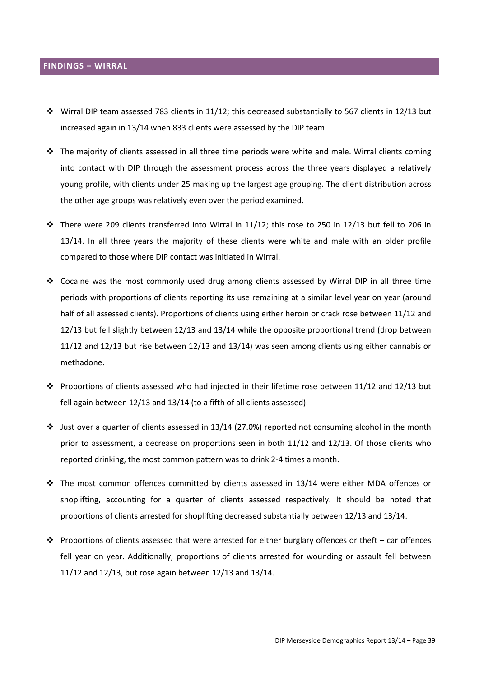#### <span id="page-39-0"></span>**FINDINGS – WIRRAL**

- Wirral DIP team assessed 783 clients in 11/12; this decreased substantially to 567 clients in 12/13 but increased again in 13/14 when 833 clients were assessed by the DIP team.
- \* The majority of clients assessed in all three time periods were white and male. Wirral clients coming into contact with DIP through the assessment process across the three years displayed a relatively young profile, with clients under 25 making up the largest age grouping. The client distribution across the other age groups was relatively even over the period examined.
- $\cdot \cdot$  There were 209 clients transferred into Wirral in 11/12; this rose to 250 in 12/13 but fell to 206 in 13/14. In all three years the majority of these clients were white and male with an older profile compared to those where DIP contact was initiated in Wirral.
- Cocaine was the most commonly used drug among clients assessed by Wirral DIP in all three time periods with proportions of clients reporting its use remaining at a similar level year on year (around half of all assessed clients). Proportions of clients using either heroin or crack rose between 11/12 and 12/13 but fell slightly between 12/13 and 13/14 while the opposite proportional trend (drop between 11/12 and 12/13 but rise between 12/13 and 13/14) was seen among clients using either cannabis or methadone.
- Proportions of clients assessed who had injected in their lifetime rose between 11/12 and 12/13 but fell again between 12/13 and 13/14 (to a fifth of all clients assessed).
- $\div$  Just over a quarter of clients assessed in 13/14 (27.0%) reported not consuming alcohol in the month prior to assessment, a decrease on proportions seen in both 11/12 and 12/13. Of those clients who reported drinking, the most common pattern was to drink 2-4 times a month.
- The most common offences committed by clients assessed in 13/14 were either MDA offences or shoplifting, accounting for a quarter of clients assessed respectively. It should be noted that proportions of clients arrested for shoplifting decreased substantially between 12/13 and 13/14.
- Proportions of clients assessed that were arrested for either burglary offences or theft car offences fell year on year. Additionally, proportions of clients arrested for wounding or assault fell between 11/12 and 12/13, but rose again between 12/13 and 13/14.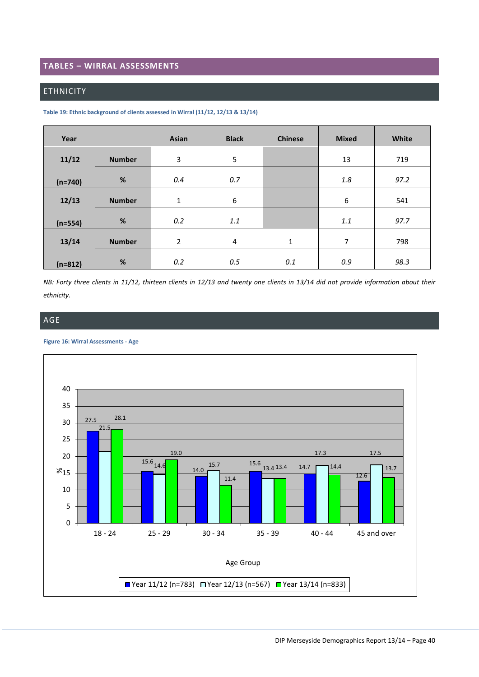#### <span id="page-40-0"></span>**TABLES – WIRRAL ASSESSMENTS**

## <span id="page-40-1"></span>ETHNICITY

<span id="page-40-3"></span>

| Table 19: Ethnic background of clients assessed in Wirral (11/12, 12/13 & 13/14) |  |
|----------------------------------------------------------------------------------|--|
|----------------------------------------------------------------------------------|--|

| Year      |               | Asian          | <b>Black</b> | <b>Chinese</b> | <b>Mixed</b>     | White |
|-----------|---------------|----------------|--------------|----------------|------------------|-------|
| 11/12     | <b>Number</b> | 3              | 5            |                | 13               | 719   |
| $(n=740)$ | %             | 0.4            | 0.7          |                | 1.8              | 97.2  |
| 12/13     | <b>Number</b> | 1              | 6            |                | $\boldsymbol{6}$ | 541   |
| $(n=554)$ | %             | 0.2            | 1.1          |                | 1.1              | 97.7  |
| 13/14     | <b>Number</b> | $\overline{2}$ | 4            | $\mathbf{1}$   | 7                | 798   |
| $(n=812)$ | %             | 0.2            | 0.5          | 0.1            | 0.9              | 98.3  |

*NB: Forty three clients in 11/12, thirteen clients in 12/13 and twenty one clients in 13/14 did not provide information about their ethnicity.*

## <span id="page-40-2"></span>AGE

<span id="page-40-4"></span>**Figure 16: Wirral Assessments - Age**

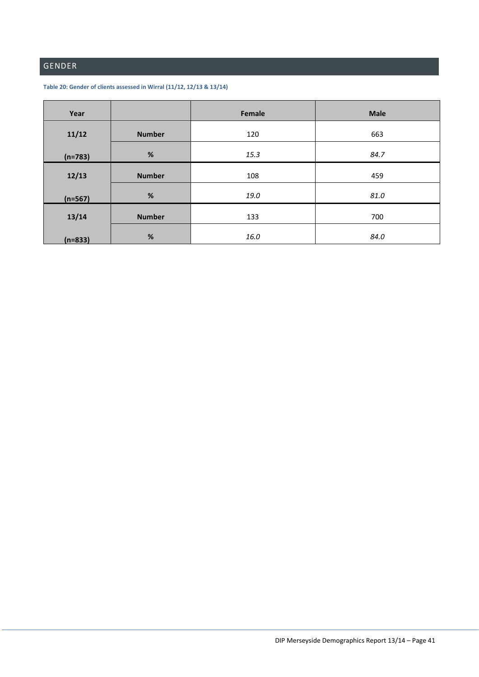# <span id="page-41-0"></span>GENDER

<span id="page-41-1"></span>

| Table 20: Gender of clients assessed in Wirral (11/12, 12/13 & 13/14) |  |
|-----------------------------------------------------------------------|--|
|-----------------------------------------------------------------------|--|

| Year      |               | Female | <b>Male</b> |
|-----------|---------------|--------|-------------|
| 11/12     | <b>Number</b> | 120    | 663         |
| $(n=783)$ | %             | 15.3   | 84.7        |
| 12/13     | <b>Number</b> | 108    | 459         |
| $(n=567)$ | %             | 19.0   | 81.0        |
| 13/14     | <b>Number</b> | 133    | 700         |
| $(n=833)$ | %             | 16.0   | 84.0        |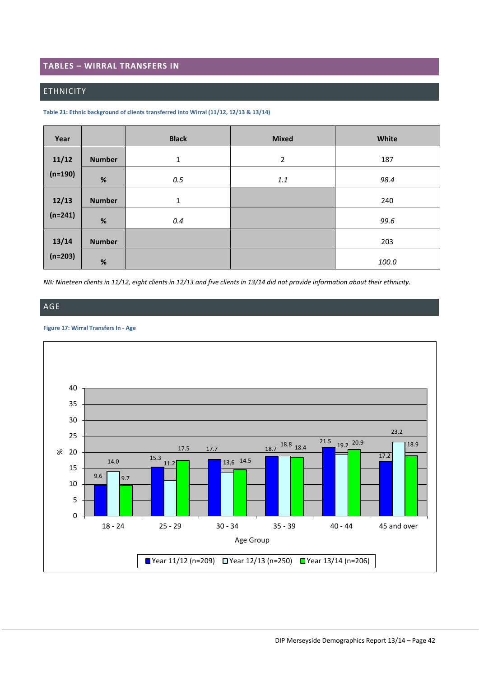## <span id="page-42-0"></span>**TABLES – WIRRAL TRANSFERS IN**

#### <span id="page-42-1"></span>ETHNICITY

#### <span id="page-42-3"></span>**Table 21: Ethnic background of clients transferred into Wirral (11/12, 12/13 & 13/14)**

| Year      |               | <b>Black</b> | <b>Mixed</b> | White |
|-----------|---------------|--------------|--------------|-------|
| 11/12     | <b>Number</b> | $\mathbf{1}$ | 2            | 187   |
| $(n=190)$ | %             | 0.5          | $1.1\,$      | 98.4  |
| 12/13     | <b>Number</b> | $\mathbf{1}$ |              | 240   |
| $(n=241)$ | $\%$          | 0.4          |              | 99.6  |
| 13/14     | <b>Number</b> |              |              | 203   |
| $(n=203)$ | %             |              |              | 100.0 |

*NB: Nineteen clients in 11/12, eight clients in 12/13 and five clients in 13/14 did not provide information about their ethnicity.*

# <span id="page-42-2"></span>AGE

#### <span id="page-42-4"></span>**Figure 17: Wirral Transfers In - Age**

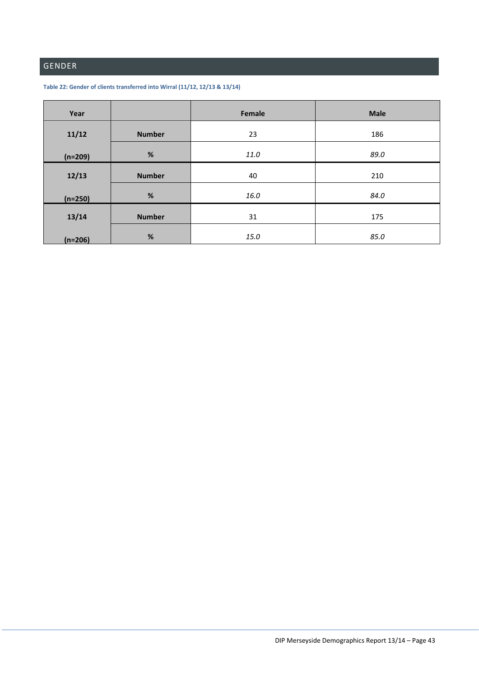# <span id="page-43-0"></span>GENDER

<span id="page-43-1"></span>

| Table 22: Gender of clients transferred into Wirral (11/12, 12/13 & 13/14) |  |
|----------------------------------------------------------------------------|--|
|----------------------------------------------------------------------------|--|

| Year      |               | Female | <b>Male</b> |
|-----------|---------------|--------|-------------|
| 11/12     | <b>Number</b> | 23     | 186         |
| $(n=209)$ | %             | 11.0   | 89.0        |
| 12/13     | <b>Number</b> | 40     | 210         |
| $(n=250)$ | %             | 16.0   | 84.0        |
| 13/14     | <b>Number</b> | 31     | 175         |
| $(n=206)$ | %             | 15.0   | 85.0        |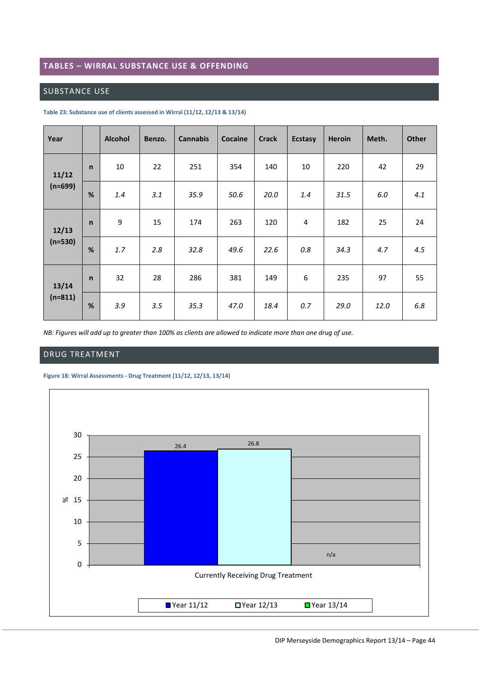#### <span id="page-44-0"></span>**TABLES – WIRRAL SUBSTANCE USE & OFFENDING**

## <span id="page-44-1"></span>SUBSTANCE USE

| Year               |              | <b>Alcohol</b> | Benzo. | <b>Cannabis</b> | Cocaine | <b>Crack</b> | <b>Ecstasy</b> | <b>Heroin</b> | Meth. | <b>Other</b> |
|--------------------|--------------|----------------|--------|-----------------|---------|--------------|----------------|---------------|-------|--------------|
| 11/12<br>$(n=699)$ | $\mathsf{n}$ | 10             | 22     | 251             | 354     | 140          | 10             | 220           | 42    | 29           |
|                    | %            | 1.4            | 3.1    | 35.9            | 50.6    | 20.0         | 1.4            | 31.5          | 6.0   | 4.1          |
| 12/13              | $\mathsf{n}$ | 9              | 15     | 174             | 263     | 120          | 4              | 182           | 25    | 24           |
| $(n=530)$          | %            | 1.7            | 2.8    | 32.8            | 49.6    | 22.6         | 0.8            | 34.3          | 4.7   | 4.5          |
| 13/14              | $\mathsf{n}$ | 32             | 28     | 286             | 381     | 149          | 6              | 235           | 97    | 55           |
| $(n=811)$          | %            | 3.9            | 3.5    | 35.3            | 47.0    | 18.4         | 0.7            | 29.0          | 12.0  | 6.8          |

#### <span id="page-44-3"></span>**Table 23: Substance use of clients assessed in Wirral (11/12, 12/13 & 13/14)**

*NB: Figures will add up to greater than 100% as clients are allowed to indicate more than one drug of use.*

#### <span id="page-44-2"></span>DRUG TREATMENT

#### <span id="page-44-4"></span>**Figure 18: Wirral Assessments - Drug Treatment (11/12, 12/13, 13/14)**

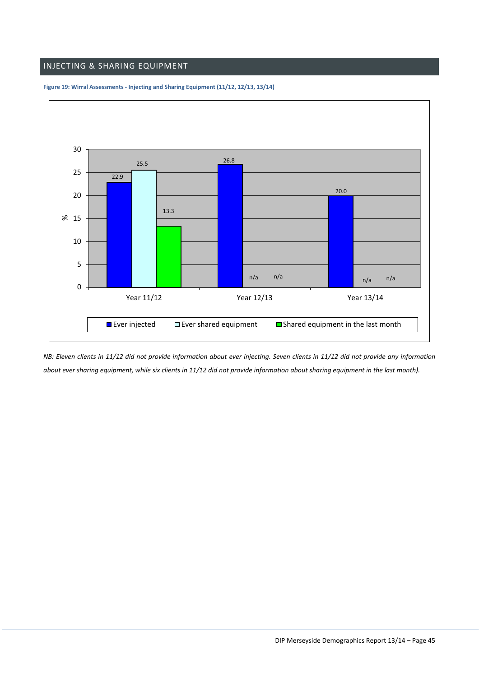## <span id="page-45-0"></span>INJECTING & SHARING EQUIPMENT



#### <span id="page-45-1"></span>**Figure 19: Wirral Assessments - Injecting and Sharing Equipment (11/12, 12/13, 13/14)**

*NB: Eleven clients in 11/12 did not provide information about ever injecting. Seven clients in 11/12 did not provide any information about ever sharing equipment, while six clients in 11/12 did not provide information about sharing equipment in the last month).*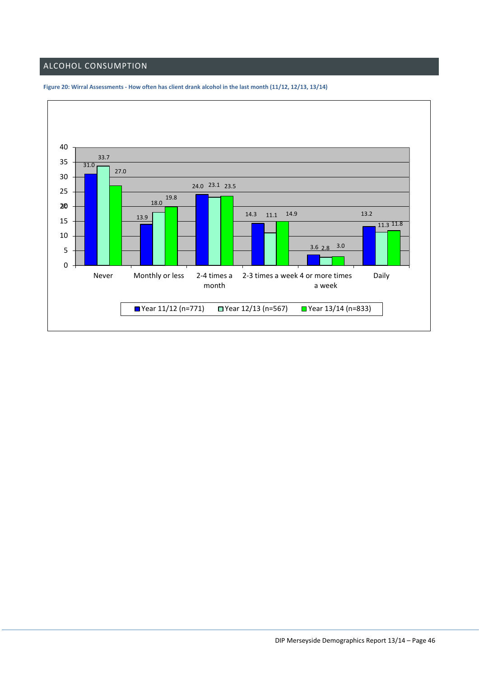# <span id="page-46-0"></span>ALCOHOL CONSUMPTION



<span id="page-46-1"></span>**Figure 20: Wirral Assessments - How often has client drank alcohol in the last month (11/12, 12/13, 13/14)**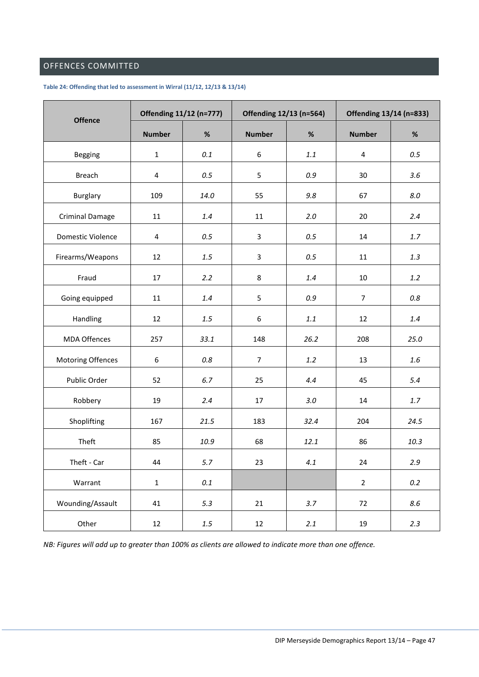# <span id="page-47-0"></span>OFFENCES COMMITTED

#### <span id="page-47-1"></span>**Table 24: Offending that led to assessment in Wirral (11/12, 12/13 & 13/14)**

| <b>Offence</b>           | Offending 11/12 (n=777) |         | Offending 12/13 (n=564) |         | Offending 13/14 (n=833) |         |  |
|--------------------------|-------------------------|---------|-------------------------|---------|-------------------------|---------|--|
|                          | <b>Number</b>           | $\%$    | <b>Number</b>           | $\%$    | <b>Number</b>           | $\%$    |  |
| Begging                  | 1                       | 0.1     | $\boldsymbol{6}$        | 1.1     | $\overline{\mathbf{4}}$ | 0.5     |  |
| <b>Breach</b>            | 4                       | 0.5     | 5                       | 0.9     | 30                      | 3.6     |  |
| <b>Burglary</b>          | 109                     | 14.0    | 55                      | 9.8     | 67                      | 8.0     |  |
| <b>Criminal Damage</b>   | 11                      | 1.4     | 11                      | 2.0     | 20                      | 2.4     |  |
| Domestic Violence        | $\overline{4}$          | 0.5     | $\mathbf{3}$            | 0.5     | 14                      | 1.7     |  |
| Firearms/Weapons         | 12                      | 1.5     | 3                       | 0.5     | 11                      | 1.3     |  |
| Fraud                    | 17                      | 2.2     | 8                       | 1.4     | 10                      | 1.2     |  |
| Going equipped           | 11                      | 1.4     | 5                       | 0.9     | $\overline{7}$          | 0.8     |  |
| Handling                 | 12                      | $1.5\,$ | 6                       | $1.1\,$ | 12                      | 1.4     |  |
| <b>MDA Offences</b>      | 257                     | 33.1    | 148                     | 26.2    | 208                     | 25.0    |  |
| <b>Motoring Offences</b> | 6                       | 0.8     | $\overline{7}$          | 1.2     | 13                      | $1.6\,$ |  |
| Public Order             | 52                      | 6.7     | 25                      | 4.4     | 45                      | 5.4     |  |
| Robbery                  | 19                      | 2.4     | 17                      | 3.0     | 14                      | $1.7$   |  |
| Shoplifting              | 167                     | 21.5    | 183                     | 32.4    | 204                     | 24.5    |  |
| Theft                    | 85                      | 10.9    | 68                      | 12.1    | 86                      | 10.3    |  |
| Theft - Car              | 44                      | 5.7     | 23                      | 4.1     | 24                      | 2.9     |  |
| Warrant                  | $\mathbf{1}$            | $0.1\,$ |                         |         | $\overline{2}$          | $0.2\,$ |  |
| Wounding/Assault         | 41                      | 5.3     | 21                      | 3.7     | 72                      | 8.6     |  |
| Other                    | 12                      | $1.5\,$ | 12                      | 2.1     | 19                      | 2.3     |  |

*NB: Figures will add up to greater than 100% as clients are allowed to indicate more than one offence.*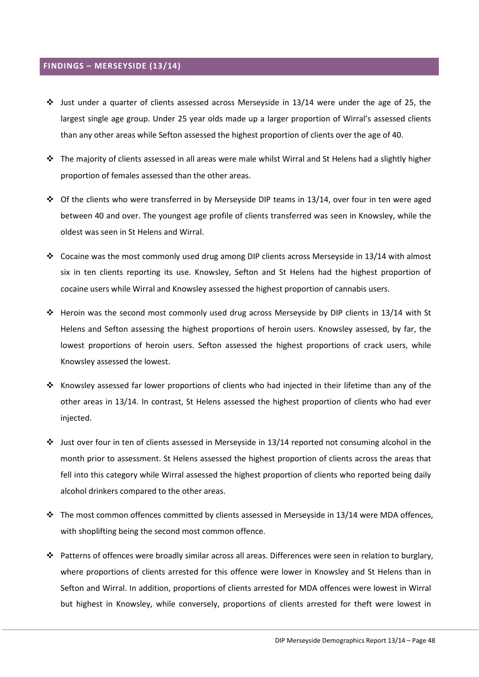#### <span id="page-48-0"></span>**FINDINGS – MERSEYSIDE (13/14)**

- $\cdot \cdot$  Just under a quarter of clients assessed across Merseyside in 13/14 were under the age of 25, the largest single age group. Under 25 year olds made up a larger proportion of Wirral's assessed clients than any other areas while Sefton assessed the highest proportion of clients over the age of 40.
- $\cdot \cdot$  The majority of clients assessed in all areas were male whilst Wirral and St Helens had a slightly higher proportion of females assessed than the other areas.
- $\cdot \cdot$  Of the clients who were transferred in by Merseyside DIP teams in 13/14, over four in ten were aged between 40 and over. The youngest age profile of clients transferred was seen in Knowsley, while the oldest was seen in St Helens and Wirral.
- $\div$  Cocaine was the most commonly used drug among DIP clients across Merseyside in 13/14 with almost six in ten clients reporting its use. Knowsley, Sefton and St Helens had the highest proportion of cocaine users while Wirral and Knowsley assessed the highest proportion of cannabis users.
- Heroin was the second most commonly used drug across Merseyside by DIP clients in 13/14 with St Helens and Sefton assessing the highest proportions of heroin users. Knowsley assessed, by far, the lowest proportions of heroin users. Sefton assessed the highest proportions of crack users, while Knowsley assessed the lowest.
- \* Knowsley assessed far lower proportions of clients who had injected in their lifetime than any of the other areas in 13/14. In contrast, St Helens assessed the highest proportion of clients who had ever injected.
- $\cdot \cdot$  Just over four in ten of clients assessed in Merseyside in 13/14 reported not consuming alcohol in the month prior to assessment. St Helens assessed the highest proportion of clients across the areas that fell into this category while Wirral assessed the highest proportion of clients who reported being daily alcohol drinkers compared to the other areas.
- The most common offences committed by clients assessed in Merseyside in 13/14 were MDA offences, with shoplifting being the second most common offence.
- Patterns of offences were broadly similar across all areas. Differences were seen in relation to burglary, where proportions of clients arrested for this offence were lower in Knowsley and St Helens than in Sefton and Wirral. In addition, proportions of clients arrested for MDA offences were lowest in Wirral but highest in Knowsley, while conversely, proportions of clients arrested for theft were lowest in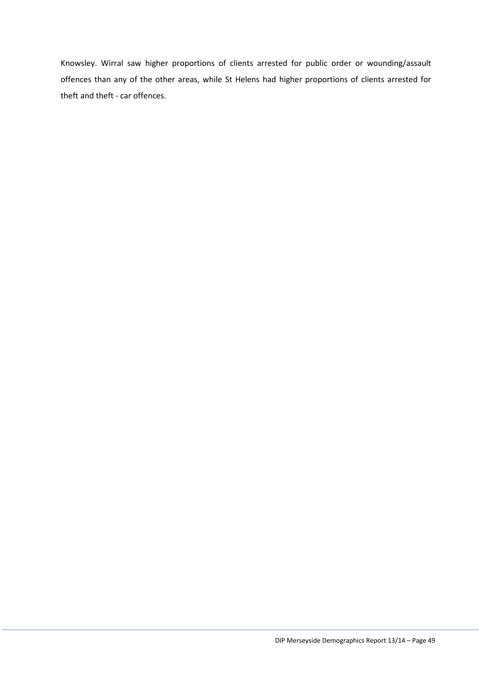Knowsley. Wirral saw higher proportions of clients arrested for public order or wounding/assault offences than any of the other areas, while St Helens had higher proportions of clients arrested for theft and theft - car offences.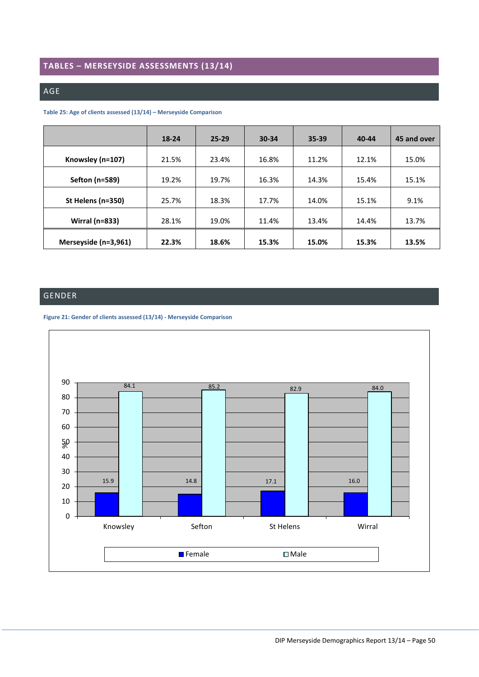# <span id="page-50-0"></span>**TABLES – MERSEYSIDE ASSESSMENTS (13/14)**

#### <span id="page-50-1"></span>AGE

#### <span id="page-50-3"></span>**Table 25: Age of clients assessed (13/14) – Merseyside Comparison**

|                       | 18-24 | $25 - 29$ | $30 - 34$ | $35 - 39$ | 40-44 | 45 and over |
|-----------------------|-------|-----------|-----------|-----------|-------|-------------|
| Knowsley (n=107)      | 21.5% | 23.4%     | 16.8%     | 11.2%     | 12.1% | 15.0%       |
| Sefton (n=589)        | 19.2% | 19.7%     | 16.3%     | 14.3%     | 15.4% | 15.1%       |
| St Helens (n=350)     | 25.7% | 18.3%     | 17.7%     | 14.0%     | 15.1% | 9.1%        |
| <b>Wirral (n=833)</b> | 28.1% | 19.0%     | 11.4%     | 13.4%     | 14.4% | 13.7%       |
| Merseyside (n=3,961)  | 22.3% | 18.6%     | 15.3%     | 15.0%     | 15.3% | 13.5%       |

# <span id="page-50-2"></span>GENDER



# <span id="page-50-4"></span>**Figure 21: Gender of clients assessed (13/14) - Merseyside Comparison**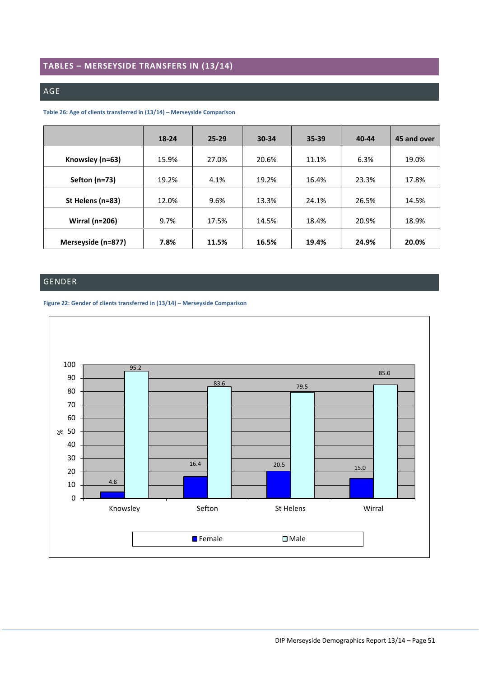# <span id="page-51-0"></span>**TABLES – MERSEYSIDE TRANSFERS IN (13/14)**

#### <span id="page-51-1"></span>AGE

#### <span id="page-51-3"></span>**Table 26: Age of clients transferred in (13/14) – Merseyside Comparison**

|                       | 18-24 | $25 - 29$ | 30-34 | 35-39 | 40-44 | 45 and over |
|-----------------------|-------|-----------|-------|-------|-------|-------------|
| Knowsley (n=63)       | 15.9% | 27.0%     | 20.6% | 11.1% | 6.3%  | 19.0%       |
| Sefton $(n=73)$       | 19.2% | 4.1%      | 19.2% | 16.4% | 23.3% | 17.8%       |
| St Helens (n=83)      | 12.0% | 9.6%      | 13.3% | 24.1% | 26.5% | 14.5%       |
| <b>Wirral (n=206)</b> | 9.7%  | 17.5%     | 14.5% | 18.4% | 20.9% | 18.9%       |
| Merseyside (n=877)    | 7.8%  | 11.5%     | 16.5% | 19.4% | 24.9% | 20.0%       |

## <span id="page-51-2"></span>GENDER

<span id="page-51-4"></span>

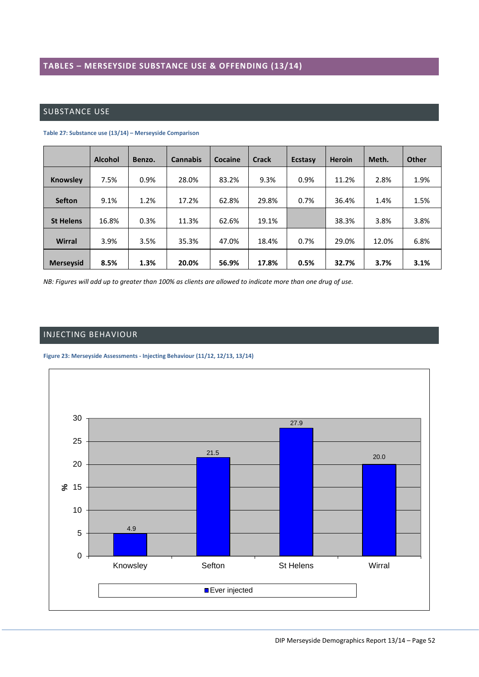# <span id="page-52-1"></span><span id="page-52-0"></span>SUBSTANCE USE

|                  | <b>Alcohol</b> | Benzo. | <b>Cannabis</b> | Cocaine | Crack | <b>Ecstasy</b> | <b>Heroin</b> | Meth. | <b>Other</b> |
|------------------|----------------|--------|-----------------|---------|-------|----------------|---------------|-------|--------------|
| Knowsley         | 7.5%           | 0.9%   | 28.0%           | 83.2%   | 9.3%  | 0.9%           | 11.2%         | 2.8%  | 1.9%         |
| <b>Sefton</b>    | 9.1%           | 1.2%   | 17.2%           | 62.8%   | 29.8% | 0.7%           | 36.4%         | 1.4%  | 1.5%         |
| <b>St Helens</b> | 16.8%          | 0.3%   | 11.3%           | 62.6%   | 19.1% |                | 38.3%         | 3.8%  | 3.8%         |
| <b>Wirral</b>    | 3.9%           | 3.5%   | 35.3%           | 47.0%   | 18.4% | 0.7%           | 29.0%         | 12.0% | 6.8%         |
| <b>Merseysid</b> | 8.5%           | 1.3%   | 20.0%           | 56.9%   | 17.8% | 0.5%           | 32.7%         | 3.7%  | 3.1%         |

<span id="page-52-3"></span>**Table 27: Substance use (13/14) – Merseyside Comparison**

*NB: Figures will add up to greater than 100% as clients are allowed to indicate more than one drug of use.*

## <span id="page-52-2"></span>INJECTING BEHAVIOUR

#### <span id="page-52-4"></span>**Figure 23: Merseyside Assessments - Injecting Behaviour (11/12, 12/13, 13/14)**

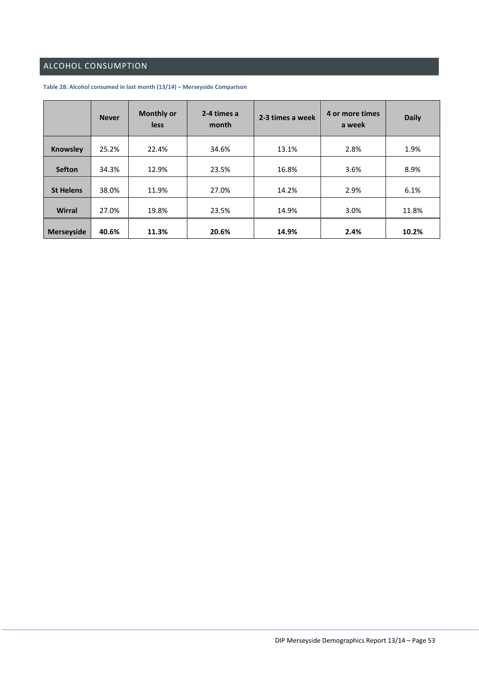# <span id="page-53-0"></span>ALCOHOL CONSUMPTION

|                   | <b>Never</b> | <b>Monthly or</b><br><b>less</b> | 2-4 times a<br>month | 2-3 times a week |      | <b>Daily</b> |
|-------------------|--------------|----------------------------------|----------------------|------------------|------|--------------|
| <b>Knowsley</b>   | 25.2%        | 22.4%                            | 34.6%                | 13.1%            | 2.8% | 1.9%         |
| <b>Sefton</b>     | 34.3%        | 12.9%                            | 23.5%                | 16.8%            | 3.6% | 8.9%         |
| <b>St Helens</b>  | 38.0%        | 11.9%                            | 27.0%                | 14.2%            | 2.9% | 6.1%         |
| <b>Wirral</b>     | 27.0%        | 19.8%                            | 23.5%                | 14.9%            | 3.0% | 11.8%        |
| <b>Merseyside</b> | 40.6%        | 11.3%                            | 20.6%                | 14.9%            | 2.4% | 10.2%        |

#### <span id="page-53-1"></span>**Table 28: Alcohol consumed in last month (13/14) – Merseyside Comparison**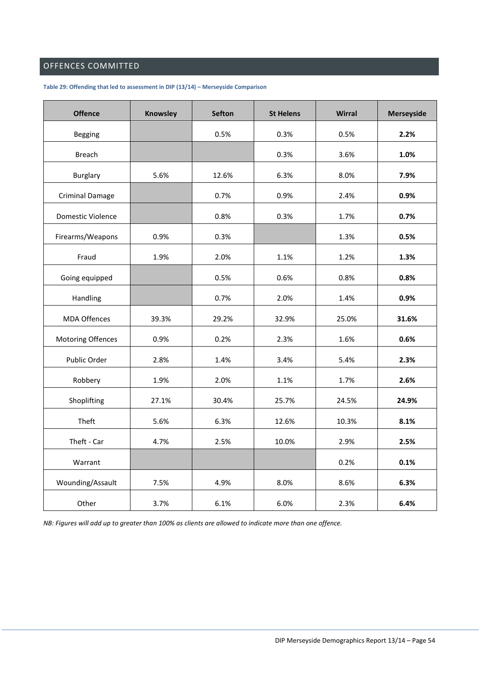# <span id="page-54-0"></span>OFFENCES COMMITTED

<span id="page-54-1"></span>**Table 29: Offending that led to assessment in DIP (13/14) – Merseyside Comparison**

| <b>Offence</b>         | <b>Knowsley</b> | <b>Sefton</b> | <b>St Helens</b> | <b>Wirral</b> | <b>Merseyside</b> |
|------------------------|-----------------|---------------|------------------|---------------|-------------------|
| Begging                |                 | 0.5%          | 0.3%             | 0.5%          | 2.2%              |
| <b>Breach</b>          |                 |               | 0.3%             | 3.6%          | 1.0%              |
| Burglary               | 5.6%            | 12.6%         | 6.3%             | 8.0%          | 7.9%              |
| <b>Criminal Damage</b> |                 | 0.7%          | 0.9%             | 2.4%          | 0.9%              |
| Domestic Violence      |                 | 0.8%          | 0.3%             | 1.7%          | 0.7%              |
| Firearms/Weapons       | 0.9%            | 0.3%          |                  | 1.3%          | 0.5%              |
| Fraud                  | 1.9%            | 2.0%          | 1.1%             | 1.2%          | 1.3%              |
| Going equipped         |                 | 0.5%          | 0.6%             | 0.8%          | 0.8%              |
| Handling               |                 | 0.7%          | 2.0%             | 1.4%          | 0.9%              |
| <b>MDA Offences</b>    | 39.3%           | 29.2%         | 32.9%            | 25.0%         | 31.6%             |
| Motoring Offences      | 0.9%            | 0.2%          | 2.3%             | 1.6%          | 0.6%              |
| Public Order           | 2.8%            | 1.4%          | 3.4%             | 5.4%          | 2.3%              |
| Robbery                | 1.9%            | 2.0%          | 1.1%             | 1.7%          | 2.6%              |
| Shoplifting            | 27.1%           | 30.4%         | 25.7%            | 24.5%         | 24.9%             |
| Theft                  | 5.6%            | 6.3%          | 12.6%            | 10.3%         | 8.1%              |
| Theft - Car            | 4.7%            | 2.5%          | 10.0%            | 2.9%          | 2.5%              |
| Warrant                |                 |               |                  | 0.2%          | 0.1%              |
| Wounding/Assault       | 7.5%            | 4.9%          | 8.0%             | 8.6%          | 6.3%              |
| Other                  | 3.7%            | 6.1%          | 6.0%             | 2.3%          | 6.4%              |

*NB: Figures will add up to greater than 100% as clients are allowed to indicate more than one offence.*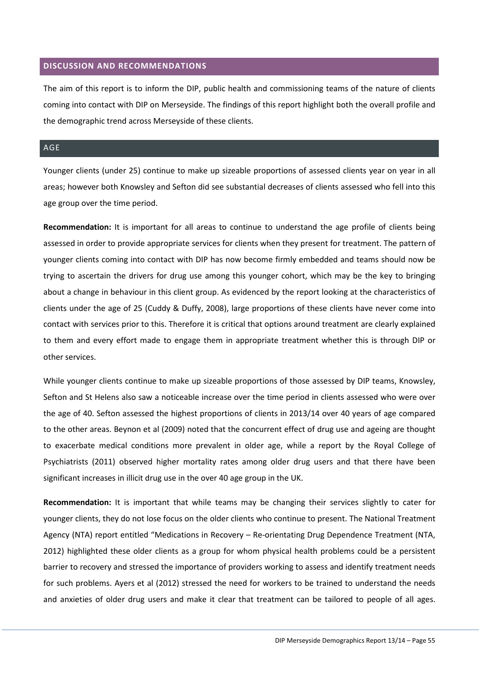#### <span id="page-55-0"></span>**DISCUSSION AND RECOMMENDATIONS**

The aim of this report is to inform the DIP, public health and commissioning teams of the nature of clients coming into contact with DIP on Merseyside. The findings of this report highlight both the overall profile and the demographic trend across Merseyside of these clients.

## <span id="page-55-1"></span>AGE

Younger clients (under 25) continue to make up sizeable proportions of assessed clients year on year in all areas; however both Knowsley and Sefton did see substantial decreases of clients assessed who fell into this age group over the time period.

**Recommendation:** It is important for all areas to continue to understand the age profile of clients being assessed in order to provide appropriate services for clients when they present for treatment. The pattern of younger clients coming into contact with DIP has now become firmly embedded and teams should now be trying to ascertain the drivers for drug use among this younger cohort, which may be the key to bringing about a change in behaviour in this client group. As evidenced by the report looking at the characteristics of clients under the age of 25 (Cuddy & Duffy, 2008), large proportions of these clients have never come into contact with services prior to this. Therefore it is critical that options around treatment are clearly explained to them and every effort made to engage them in appropriate treatment whether this is through DIP or other services.

While younger clients continue to make up sizeable proportions of those assessed by DIP teams, Knowsley, Sefton and St Helens also saw a noticeable increase over the time period in clients assessed who were over the age of 40. Sefton assessed the highest proportions of clients in 2013/14 over 40 years of age compared to the other areas. Beynon et al (2009) noted that the concurrent effect of drug use and ageing are thought to exacerbate medical conditions more prevalent in older age, while a report by the Royal College of Psychiatrists (2011) observed higher mortality rates among older drug users and that there have been significant increases in illicit drug use in the over 40 age group in the UK.

**Recommendation:** It is important that while teams may be changing their services slightly to cater for younger clients, they do not lose focus on the older clients who continue to present. The National Treatment Agency (NTA) report entitled "Medications in Recovery – Re-orientating Drug Dependence Treatment (NTA, 2012) highlighted these older clients as a group for whom physical health problems could be a persistent barrier to recovery and stressed the importance of providers working to assess and identify treatment needs for such problems. Ayers et al (2012) stressed the need for workers to be trained to understand the needs and anxieties of older drug users and make it clear that treatment can be tailored to people of all ages.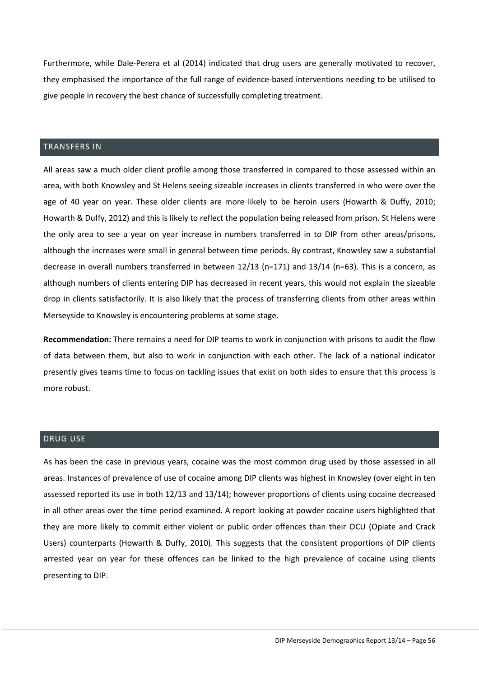Furthermore, while Dale-Perera et al (2014) indicated that drug users are generally motivated to recover, they emphasised the importance of the full range of evidence-based interventions needing to be utilised to give people in recovery the best chance of successfully completing treatment.

#### <span id="page-56-0"></span>TRANSFERS IN

All areas saw a much older client profile among those transferred in compared to those assessed within an area, with both Knowsley and St Helens seeing sizeable increases in clients transferred in who were over the age of 40 year on year. These older clients are more likely to be heroin users (Howarth & Duffy, 2010; Howarth & Duffy, 2012) and this is likely to reflect the population being released from prison. St Helens were the only area to see a year on year increase in numbers transferred in to DIP from other areas/prisons, although the increases were small in general between time periods. By contrast, Knowsley saw a substantial decrease in overall numbers transferred in between 12/13 (n=171) and 13/14 (n=63). This is a concern, as although numbers of clients entering DIP has decreased in recent years, this would not explain the sizeable drop in clients satisfactorily. It is also likely that the process of transferring clients from other areas within Merseyside to Knowsley is encountering problems at some stage.

**Recommendation:** There remains a need for DIP teams to work in conjunction with prisons to audit the flow of data between them, but also to work in conjunction with each other. The lack of a national indicator presently gives teams time to focus on tackling issues that exist on both sides to ensure that this process is more robust.

#### <span id="page-56-1"></span>DRUG USE

As has been the case in previous years, cocaine was the most common drug used by those assessed in all areas. Instances of prevalence of use of cocaine among DIP clients was highest in Knowsley (over eight in ten assessed reported its use in both 12/13 and 13/14); however proportions of clients using cocaine decreased in all other areas over the time period examined. A report looking at powder cocaine users highlighted that they are more likely to commit either violent or public order offences than their OCU (Opiate and Crack Users) counterparts (Howarth & Duffy, 2010). This suggests that the consistent proportions of DIP clients arrested year on year for these offences can be linked to the high prevalence of cocaine using clients presenting to DIP.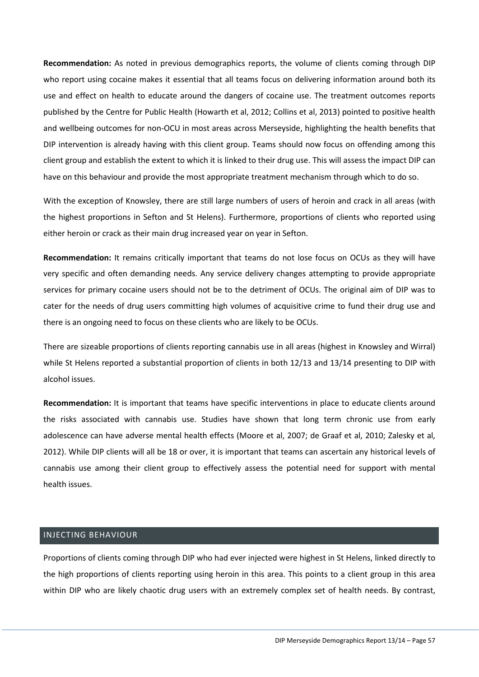**Recommendation:** As noted in previous demographics reports, the volume of clients coming through DIP who report using cocaine makes it essential that all teams focus on delivering information around both its use and effect on health to educate around the dangers of cocaine use. The treatment outcomes reports published by the Centre for Public Health (Howarth et al, 2012; Collins et al, 2013) pointed to positive health and wellbeing outcomes for non-OCU in most areas across Merseyside, highlighting the health benefits that DIP intervention is already having with this client group. Teams should now focus on offending among this client group and establish the extent to which it is linked to their drug use. This will assess the impact DIP can have on this behaviour and provide the most appropriate treatment mechanism through which to do so.

With the exception of Knowsley, there are still large numbers of users of heroin and crack in all areas (with the highest proportions in Sefton and St Helens). Furthermore, proportions of clients who reported using either heroin or crack as their main drug increased year on year in Sefton.

**Recommendation:** It remains critically important that teams do not lose focus on OCUs as they will have very specific and often demanding needs. Any service delivery changes attempting to provide appropriate services for primary cocaine users should not be to the detriment of OCUs. The original aim of DIP was to cater for the needs of drug users committing high volumes of acquisitive crime to fund their drug use and there is an ongoing need to focus on these clients who are likely to be OCUs.

There are sizeable proportions of clients reporting cannabis use in all areas (highest in Knowsley and Wirral) while St Helens reported a substantial proportion of clients in both 12/13 and 13/14 presenting to DIP with alcohol issues.

**Recommendation:** It is important that teams have specific interventions in place to educate clients around the risks associated with cannabis use. Studies have shown that long term chronic use from early adolescence can have adverse mental health effects (Moore et al, 2007; de Graaf et al, 2010; Zalesky et al, 2012). While DIP clients will all be 18 or over, it is important that teams can ascertain any historical levels of cannabis use among their client group to effectively assess the potential need for support with mental health issues.

#### <span id="page-57-0"></span>INJECTING BEHAVIOUR

Proportions of clients coming through DIP who had ever injected were highest in St Helens, linked directly to the high proportions of clients reporting using heroin in this area. This points to a client group in this area within DIP who are likely chaotic drug users with an extremely complex set of health needs. By contrast,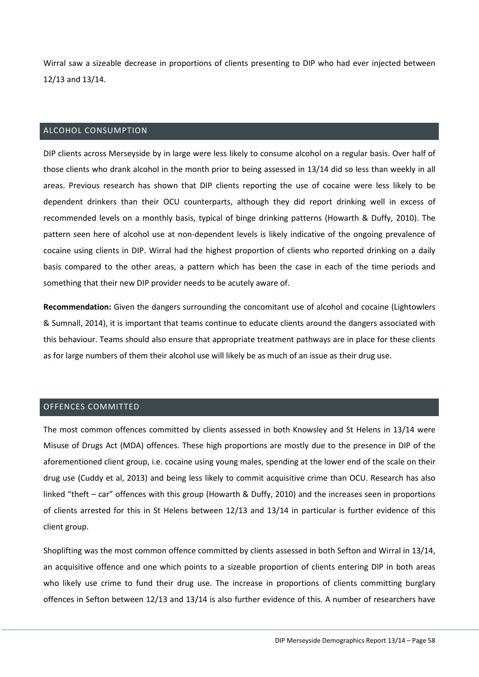Wirral saw a sizeable decrease in proportions of clients presenting to DIP who had ever injected between 12/13 and 13/14.

## <span id="page-58-0"></span>ALCOHOL CONSUMPTION

DIP clients across Merseyside by in large were less likely to consume alcohol on a regular basis. Over half of those clients who drank alcohol in the month prior to being assessed in 13/14 did so less than weekly in all areas. Previous research has shown that DIP clients reporting the use of cocaine were less likely to be dependent drinkers than their OCU counterparts, although they did report drinking well in excess of recommended levels on a monthly basis, typical of binge drinking patterns (Howarth & Duffy, 2010). The pattern seen here of alcohol use at non-dependent levels is likely indicative of the ongoing prevalence of cocaine using clients in DIP. Wirral had the highest proportion of clients who reported drinking on a daily basis compared to the other areas, a pattern which has been the case in each of the time periods and something that their new DIP provider needs to be acutely aware of.

**Recommendation:** Given the dangers surrounding the concomitant use of alcohol and cocaine (Lightowlers & Sumnall, 2014), it is important that teams continue to educate clients around the dangers associated with this behaviour. Teams should also ensure that appropriate treatment pathways are in place for these clients as for large numbers of them their alcohol use will likely be as much of an issue as their drug use.

#### <span id="page-58-1"></span>OFFENCES COMMITTED

The most common offences committed by clients assessed in both Knowsley and St Helens in 13/14 were Misuse of Drugs Act (MDA) offences. These high proportions are mostly due to the presence in DIP of the aforementioned client group, i.e. cocaine using young males, spending at the lower end of the scale on their drug use (Cuddy et al, 2013) and being less likely to commit acquisitive crime than OCU. Research has also linked "theft – car" offences with this group (Howarth & Duffy, 2010) and the increases seen in proportions of clients arrested for this in St Helens between 12/13 and 13/14 in particular is further evidence of this client group.

Shoplifting was the most common offence committed by clients assessed in both Sefton and Wirral in 13/14, an acquisitive offence and one which points to a sizeable proportion of clients entering DIP in both areas who likely use crime to fund their drug use. The increase in proportions of clients committing burglary offences in Sefton between 12/13 and 13/14 is also further evidence of this. A number of researchers have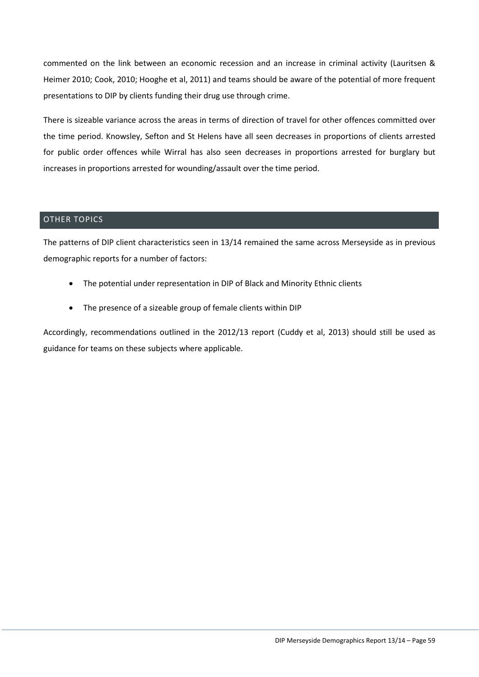commented on the link between an economic recession and an increase in criminal activity (Lauritsen & Heimer 2010; Cook, 2010; Hooghe et al, 2011) and teams should be aware of the potential of more frequent presentations to DIP by clients funding their drug use through crime.

There is sizeable variance across the areas in terms of direction of travel for other offences committed over the time period. Knowsley, Sefton and St Helens have all seen decreases in proportions of clients arrested for public order offences while Wirral has also seen decreases in proportions arrested for burglary but increases in proportions arrested for wounding/assault over the time period.

#### <span id="page-59-0"></span>OTHER TOPICS

The patterns of DIP client characteristics seen in 13/14 remained the same across Merseyside as in previous demographic reports for a number of factors:

- The potential under representation in DIP of Black and Minority Ethnic clients
- The presence of a sizeable group of female clients within DIP

Accordingly, recommendations outlined in the 2012/13 report (Cuddy et al, 2013) should still be used as guidance for teams on these subjects where applicable.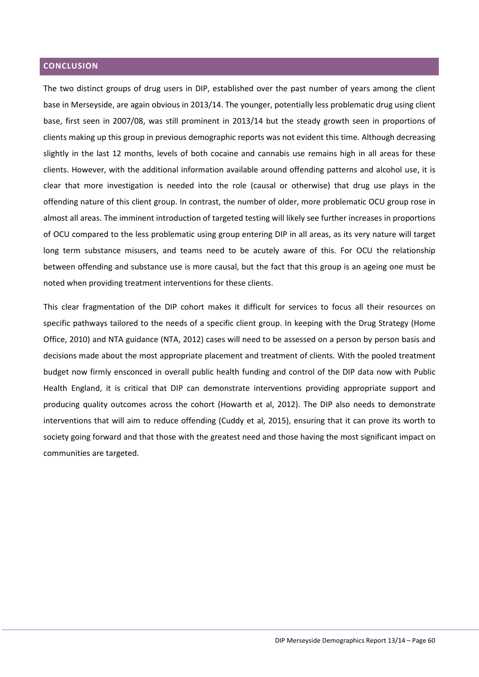## <span id="page-60-0"></span>**CONCLUSION**

The two distinct groups of drug users in DIP, established over the past number of years among the client base in Merseyside, are again obvious in 2013/14. The younger, potentially less problematic drug using client base, first seen in 2007/08, was still prominent in 2013/14 but the steady growth seen in proportions of clients making up this group in previous demographic reports was not evident this time. Although decreasing slightly in the last 12 months, levels of both cocaine and cannabis use remains high in all areas for these clients. However, with the additional information available around offending patterns and alcohol use, it is clear that more investigation is needed into the role (causal or otherwise) that drug use plays in the offending nature of this client group. In contrast, the number of older, more problematic OCU group rose in almost all areas. The imminent introduction of targeted testing will likely see further increases in proportions of OCU compared to the less problematic using group entering DIP in all areas, as its very nature will target long term substance misusers, and teams need to be acutely aware of this. For OCU the relationship between offending and substance use is more causal, but the fact that this group is an ageing one must be noted when providing treatment interventions for these clients.

This clear fragmentation of the DIP cohort makes it difficult for services to focus all their resources on specific pathways tailored to the needs of a specific client group. In keeping with the Drug Strategy (Home Office, 2010) and NTA guidance (NTA, 2012) cases will need to be assessed on a person by person basis and decisions made about the most appropriate placement and treatment of clients. With the pooled treatment budget now firmly ensconced in overall public health funding and control of the DIP data now with Public Health England, it is critical that DIP can demonstrate interventions providing appropriate support and producing quality outcomes across the cohort (Howarth et al, 2012). The DIP also needs to demonstrate interventions that will aim to reduce offending (Cuddy et al, 2015), ensuring that it can prove its worth to society going forward and that those with the greatest need and those having the most significant impact on communities are targeted.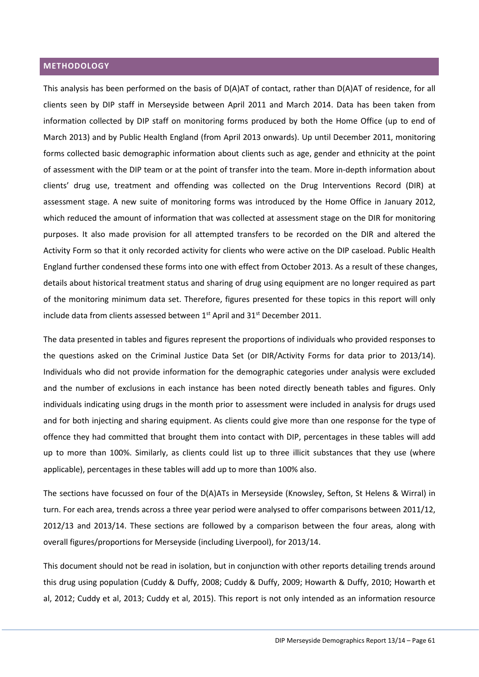#### <span id="page-61-0"></span>**METHODOLOGY**

This analysis has been performed on the basis of D(A)AT of contact, rather than D(A)AT of residence, for all clients seen by DIP staff in Merseyside between April 2011 and March 2014. Data has been taken from information collected by DIP staff on monitoring forms produced by both the Home Office (up to end of March 2013) and by Public Health England (from April 2013 onwards). Up until December 2011, monitoring forms collected basic demographic information about clients such as age, gender and ethnicity at the point of assessment with the DIP team or at the point of transfer into the team. More in-depth information about clients' drug use, treatment and offending was collected on the Drug Interventions Record (DIR) at assessment stage. A new suite of monitoring forms was introduced by the Home Office in January 2012, which reduced the amount of information that was collected at assessment stage on the DIR for monitoring purposes. It also made provision for all attempted transfers to be recorded on the DIR and altered the Activity Form so that it only recorded activity for clients who were active on the DIP caseload. Public Health England further condensed these forms into one with effect from October 2013. As a result of these changes, details about historical treatment status and sharing of drug using equipment are no longer required as part of the monitoring minimum data set. Therefore, figures presented for these topics in this report will only include data from clients assessed between 1<sup>st</sup> April and 31<sup>st</sup> December 2011.

The data presented in tables and figures represent the proportions of individuals who provided responses to the questions asked on the Criminal Justice Data Set (or DIR/Activity Forms for data prior to 2013/14). Individuals who did not provide information for the demographic categories under analysis were excluded and the number of exclusions in each instance has been noted directly beneath tables and figures. Only individuals indicating using drugs in the month prior to assessment were included in analysis for drugs used and for both injecting and sharing equipment. As clients could give more than one response for the type of offence they had committed that brought them into contact with DIP, percentages in these tables will add up to more than 100%. Similarly, as clients could list up to three illicit substances that they use (where applicable), percentages in these tables will add up to more than 100% also.

The sections have focussed on four of the D(A)ATs in Merseyside (Knowsley, Sefton, St Helens & Wirral) in turn. For each area, trends across a three year period were analysed to offer comparisons between 2011/12, 2012/13 and 2013/14. These sections are followed by a comparison between the four areas, along with overall figures/proportions for Merseyside (including Liverpool), for 2013/14.

This document should not be read in isolation, but in conjunction with other reports detailing trends around this drug using population (Cuddy & Duffy, 2008; Cuddy & Duffy, 2009; Howarth & Duffy, 2010; Howarth et al, 2012; Cuddy et al, 2013; Cuddy et al, 2015). This report is not only intended as an information resource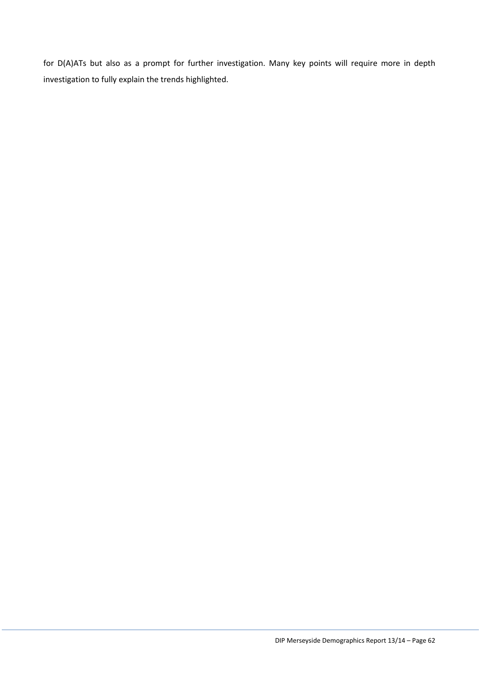for D(A)ATs but also as a prompt for further investigation. Many key points will require more in depth investigation to fully explain the trends highlighted.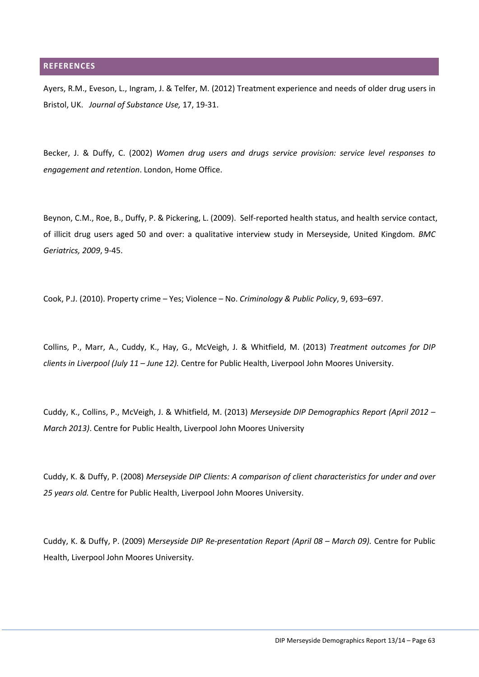#### <span id="page-63-0"></span>**REFERENCES**

Ayers, R.M., Eveson, L., Ingram, J. & Telfer, M. (2012) Treatment experience and needs of older drug users in Bristol, UK. *Journal of Substance Use,* 17, 19-31.

Becker, J. & Duffy, C. (2002) *Women drug users and drugs service provision: service level responses to engagement and retention*. London, Home Office.

Beynon, C.M., Roe, B., Duffy, P. & Pickering, L. (2009). Self-reported health status, and health service contact, of illicit drug users aged 50 and over: a qualitative interview study in Merseyside, United Kingdom*. BMC Geriatrics, 2009*, 9-45.

Cook, P.J. (2010). Property crime – Yes; Violence – No. *Criminology & Public Policy*, 9, 693–697.

Collins, P., Marr, A., Cuddy, K., Hay, G., McVeigh, J. & Whitfield, M. (2013) *Treatment outcomes for DIP clients in Liverpool (July 11 – June 12).* Centre for Public Health, Liverpool John Moores University.

Cuddy, K., Collins, P., McVeigh, J. & Whitfield, M. (2013) *Merseyside DIP Demographics Report (April 2012 – March 2013)*. Centre for Public Health, Liverpool John Moores University

Cuddy, K. & Duffy, P. (2008) *Merseyside DIP Clients: A comparison of client characteristics for under and over 25 years old.* Centre for Public Health, Liverpool John Moores University.

Cuddy, K. & Duffy, P. (2009) *Merseyside DIP Re-presentation Report (April 08 – March 09).* Centre for Public Health, Liverpool John Moores University.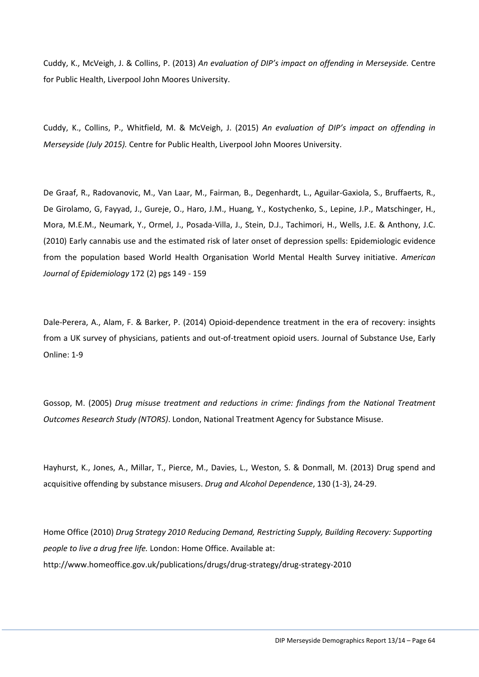Cuddy, K., McVeigh, J. & Collins, P. (2013) *An evaluation of DIP's impact on offending in Merseyside.* Centre for Public Health, Liverpool John Moores University.

Cuddy, K., Collins, P., Whitfield, M. & McVeigh, J. (2015) *An evaluation of DIP's impact on offending in Merseyside (July 2015).* Centre for Public Health, Liverpool John Moores University.

De Graaf, R., Radovanovic, M., Van Laar, M., Fairman, B., Degenhardt, L., Aguilar-Gaxiola, S., Bruffaerts, R., De Girolamo, G, Fayyad, J., Gureje, O., Haro, J.M., Huang, Y., Kostychenko, S., Lepine, J.P., Matschinger, H., Mora, M.E.M., Neumark, Y., Ormel, J., Posada-Villa, J., Stein, D.J., Tachimori, H., Wells, J.E. & Anthony, J.C. (2010) Early cannabis use and the estimated risk of later onset of depression spells: Epidemiologic evidence from the population based World Health Organisation World Mental Health Survey initiative. *American Journal of Epidemiology* 172 (2) pgs 149 - 159

Dale-Perera, A., Alam, F. & Barker, P. (2014) Opioid-dependence treatment in the era of recovery: insights from a UK survey of physicians, patients and out-of-treatment opioid users. Journal of Substance Use, Early Online: 1-9

Gossop, M. (2005) *Drug misuse treatment and reductions in crime: findings from the National Treatment Outcomes Research Study (NTORS)*. London, National Treatment Agency for Substance Misuse.

Hayhurst, K., Jones, A., Millar, T., Pierce, M., Davies, L., Weston, S. & Donmall, M. (2013) Drug spend and acquisitive offending by substance misusers. *Drug and Alcohol Dependence*, 130 (1-3), 24-29.

Home Office (2010) *Drug Strategy 2010 Reducing Demand, Restricting Supply, Building Recovery: Supporting people to live a drug free life.* London: Home Office. Available at: <http://www.homeoffice.gov.uk/publications/drugs/drug-strategy/drug-strategy-2010>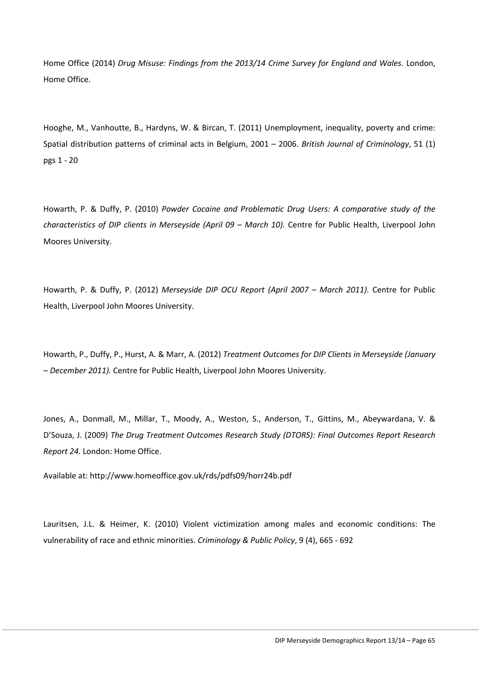Home Office (2014) *Drug Misuse: Findings from the 2013/14 Crime Survey for England and Wales.* London, Home Office.

Hooghe, M., Vanhoutte, B., Hardyns, W. & Bircan, T. (2011) Unemployment, inequality, poverty and crime: Spatial distribution patterns of criminal acts in Belgium, 2001 – 2006. *British Journal of Criminology*, 51 (1) pgs 1 - 20

Howarth, P. & Duffy, P. (2010) *Powder Cocaine and Problematic Drug Users: A comparative study of the characteristics of DIP clients in Merseyside (April 09 – March 10).* Centre for Public Health, Liverpool John Moores University.

Howarth, P. & Duffy, P. (2012) *Merseyside DIP OCU Report (April 2007 – March 2011).* Centre for Public Health, Liverpool John Moores University.

Howarth, P., Duffy, P., Hurst, A. & Marr, A. (2012) *Treatment Outcomes for DIP Clients in Merseyside (January – December 2011).* Centre for Public Health, Liverpool John Moores University.

Jones, A., Donmall, M., Millar, T., Moody, A., Weston, S., Anderson, T., Gittins, M., Abeywardana, V. & D'Souza, J. (2009) *The Drug Treatment Outcomes Research Study (DTORS): Final Outcomes Report Research Report 24.* London: Home Office.

Available at[: http://www.homeoffice.gov.uk/rds/pdfs09/horr24b.pdf](http://www.homeoffice.gov.uk/rds/pdfs09/horr24b.pdf)

Lauritsen, J.L. & Heimer, K. (2010) Violent victimization among males and economic conditions: The vulnerability of race and ethnic minorities. *Criminology & Public Policy*, 9 (4), 665 - 692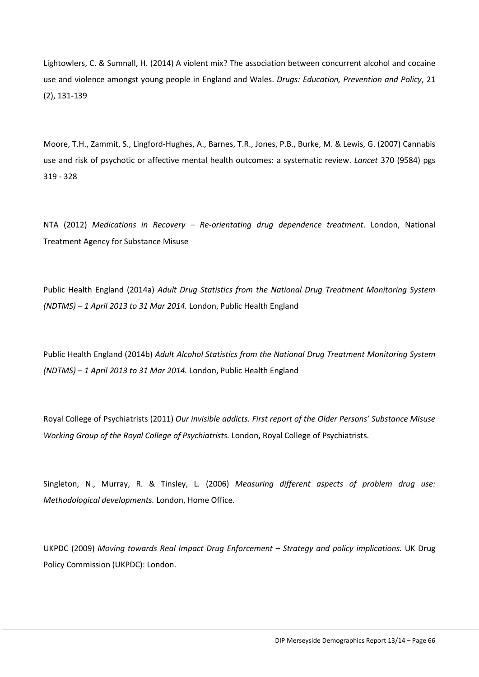Lightowlers, C. & Sumnall, H. (2014) A violent mix? The association between concurrent alcohol and cocaine use and violence amongst young people in England and Wales. *Drugs: Education, Prevention and Policy*, 21 (2), 131-139

Moore, T.H., Zammit, S., Lingford-Hughes, A., Barnes, T.R., Jones, P.B., Burke, M. & Lewis, G. (2007) Cannabis use and risk of psychotic or affective mental health outcomes: a systematic review. *Lancet* 370 (9584) pgs 319 - 328

NTA (2012) *Medications in Recovery – Re-orientating drug dependence treatment*. London, National Treatment Agency for Substance Misuse

Public Health England (2014a) *Adult Drug Statistics from the National Drug Treatment Monitoring System (NDTMS) – 1 April 2013 to 31 Mar 2014.* London, Public Health England

Public Health England (2014b) *Adult Alcohol Statistics from the National Drug Treatment Monitoring System (NDTMS) – 1 April 2013 to 31 Mar 2014.* London, Public Health England

Royal College of Psychiatrists (2011) *Our invisible addicts. First report of the Older Persons' Substance Misuse Working Group of the Royal College of Psychiatrists.* London, Royal College of Psychiatrists.

Singleton, N., Murray, R. & Tinsley, L. (2006) *Measuring different aspects of problem drug use: Methodological developments.* London, Home Office.

UKPDC (2009) *Moving towards Real Impact Drug Enforcement – Strategy and policy implications.* UK Drug Policy Commission (UKPDC): London.